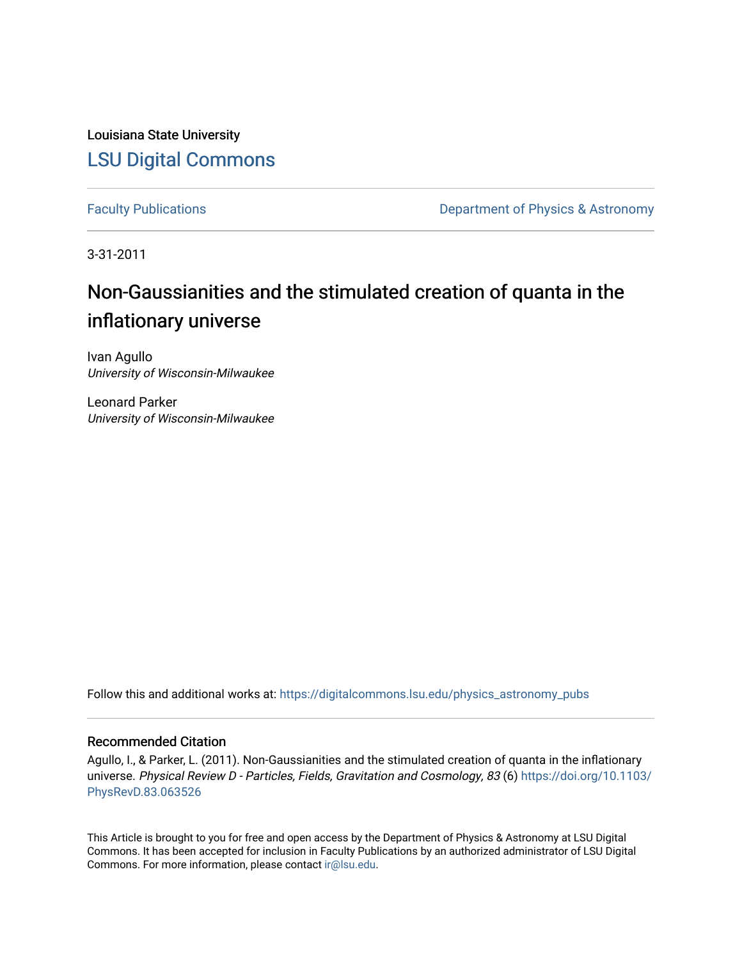Louisiana State University [LSU Digital Commons](https://digitalcommons.lsu.edu/)

[Faculty Publications](https://digitalcommons.lsu.edu/physics_astronomy_pubs) **Exercise 2 and Table 2 and Table 2 and Table 2 and Table 2 and Table 2 and Table 2 and Table 2 and Table 2 and Table 2 and Table 2 and Table 2 and Table 2 and Table 2 and Table 2 and Table 2 and Table** 

3-31-2011

# Non-Gaussianities and the stimulated creation of quanta in the inflationary universe

Ivan Agullo University of Wisconsin-Milwaukee

Leonard Parker University of Wisconsin-Milwaukee

Follow this and additional works at: [https://digitalcommons.lsu.edu/physics\\_astronomy\\_pubs](https://digitalcommons.lsu.edu/physics_astronomy_pubs?utm_source=digitalcommons.lsu.edu%2Fphysics_astronomy_pubs%2F184&utm_medium=PDF&utm_campaign=PDFCoverPages) 

#### Recommended Citation

Agullo, I., & Parker, L. (2011). Non-Gaussianities and the stimulated creation of quanta in the inflationary universe. Physical Review D - Particles, Fields, Gravitation and Cosmology, 83 (6) [https://doi.org/10.1103/](https://doi.org/10.1103/PhysRevD.83.063526) [PhysRevD.83.063526](https://doi.org/10.1103/PhysRevD.83.063526)

This Article is brought to you for free and open access by the Department of Physics & Astronomy at LSU Digital Commons. It has been accepted for inclusion in Faculty Publications by an authorized administrator of LSU Digital Commons. For more information, please contact [ir@lsu.edu](mailto:ir@lsu.edu).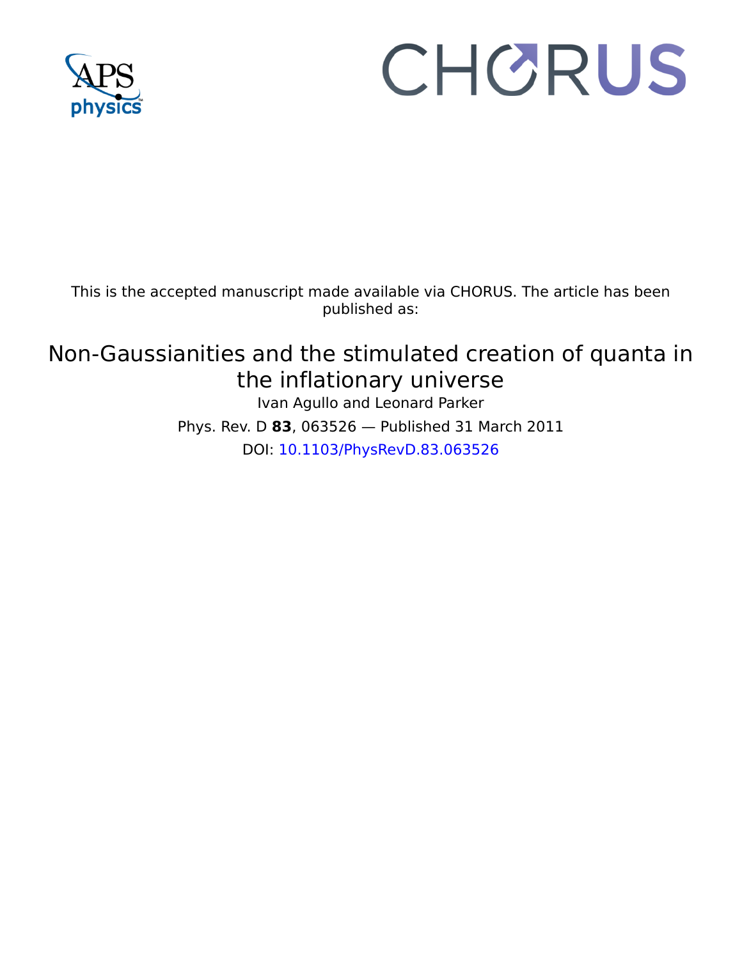

# CHORUS

This is the accepted manuscript made available via CHORUS. The article has been published as:

# Non-Gaussianities and the stimulated creation of quanta in the inflationary universe

Ivan Agullo and Leonard Parker Phys. Rev. D **83**, 063526 — Published 31 March 2011 DOI: [10.1103/PhysRevD.83.063526](http://dx.doi.org/10.1103/PhysRevD.83.063526)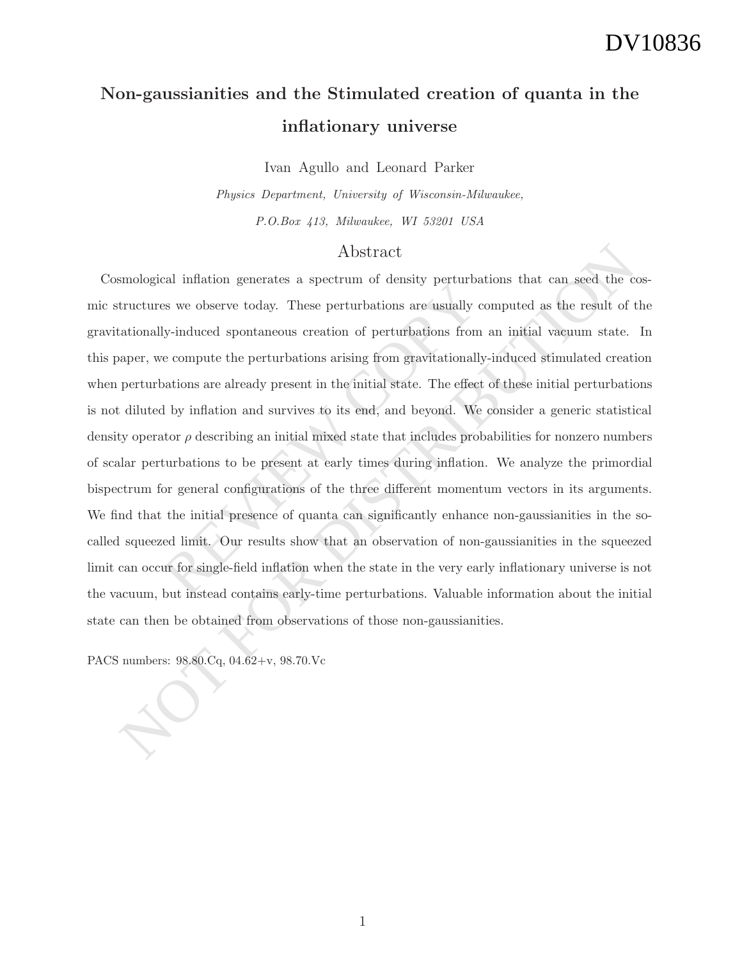## DV10836

## Non-gaussianities and the Stimulated creation of quanta in the inflationary universe

Ivan Agullo and Leonard Parker

Physics Department, University of Wisconsin-Milwaukee, P.O.Box 413, Milwaukee, WI 53201 USA

#### Abstract

Example 1 mation generates a spectrum of density perturbation<br>as we observe today. These perturbations are usually colly-induced spontaneous creation of perturbations from  $\varepsilon$ <br>re compute the perturbations arising from g Abstract and spectra mological inflation generates a spectrum of density perturbations that can seed the costructures we observe today. These perturbations are usually computed as the result of the attionally-induced spon Cosmological inflation generates a spectrum of density perturbations that can seed the cosmic structures we observe today. These perturbations are usually computed as the result of the gravitationally-induced spontaneous creation of perturbations from an initial vacuum state. In this paper, we compute the perturbations arising from gravitationally-induced stimulated creation when perturbations are already present in the initial state. The effect of these initial perturbations is not diluted by inflation and survives to its end, and beyond. We consider a generic statistical density operator  $\rho$  describing an initial mixed state that includes probabilities for nonzero numbers of scalar perturbations to be present at early times during inflation. We analyze the primordial bispectrum for general configurations of the three different momentum vectors in its arguments. We find that the initial presence of quanta can significantly enhance non-gaussianities in the socalled squeezed limit. Our results show that an observation of non-gaussianities in the squeezed limit can occur for single-field inflation when the state in the very early inflationary universe is not the vacuum, but instead contains early-time perturbations. Valuable information about the initial state can then be obtained from observations of those non-gaussianities.

PACS numbers: 98.80.Cq, 04.62+v, 98.70.Vc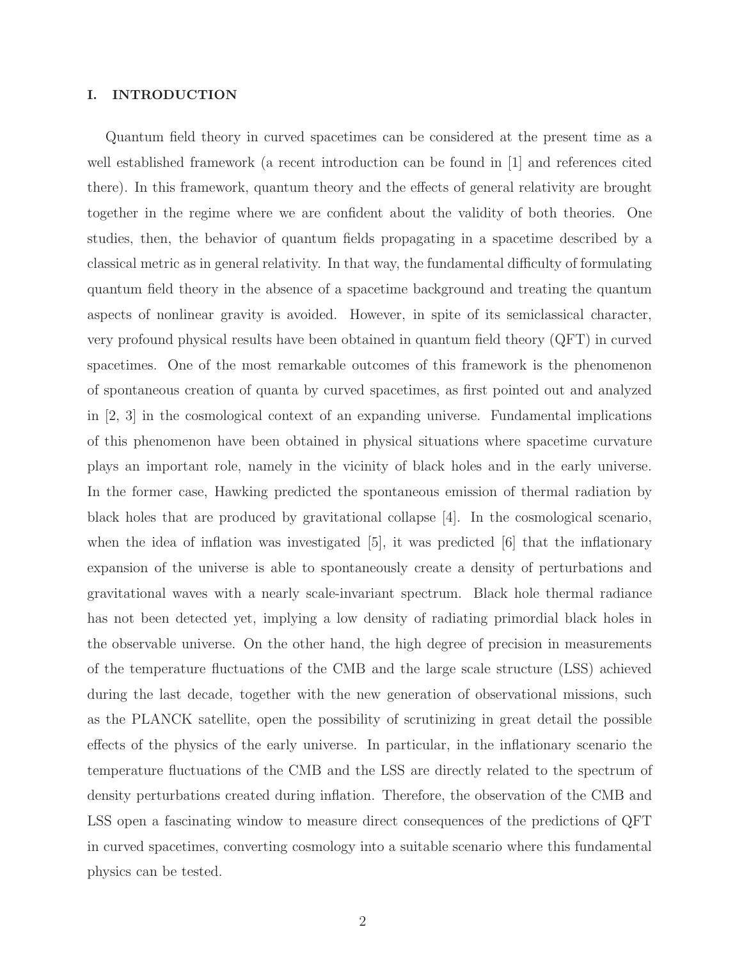#### I. INTRODUCTION

Quantum field theory in curved spacetimes can be considered at the present time as a well established framework (a recent introduction can be found in [1] and references cited there). In this framework, quantum theory and the effects of general relativity are brought together in the regime where we are confident about the validity of both theories. One studies, then, the behavior of quantum fields propagating in a spacetime described by a classical metric as in general relativity. In that way, the fundamental difficulty of formulating quantum field theory in the absence of a spacetime background and treating the quantum aspects of nonlinear gravity is avoided. However, in spite of its semiclassical character, very profound physical results have been obtained in quantum field theory (QFT) in curved spacetimes. One of the most remarkable outcomes of this framework is the phenomenon of spontaneous creation of quanta by curved spacetimes, as first pointed out and analyzed in [2, 3] in the cosmological context of an expanding universe. Fundamental implications of this phenomenon have been obtained in physical situations where spacetime curvature plays an important role, namely in the vicinity of black holes and in the early universe. In the former case, Hawking predicted the spontaneous emission of thermal radiation by black holes that are produced by gravitational collapse [4]. In the cosmological scenario, when the idea of inflation was investigated  $[5]$ , it was predicted  $[6]$  that the inflationary expansion of the universe is able to spontaneously create a density of perturbations and gravitational waves with a nearly scale-invariant spectrum. Black hole thermal radiance has not been detected yet, implying a low density of radiating primordial black holes in the observable universe. On the other hand, the high degree of precision in measurements of the temperature fluctuations of the CMB and the large scale structure (LSS) achieved during the last decade, together with the new generation of observational missions, such as the PLANCK satellite, open the possibility of scrutinizing in great detail the possible effects of the physics of the early universe. In particular, in the inflationary scenario the temperature fluctuations of the CMB and the LSS are directly related to the spectrum of density perturbations created during inflation. Therefore, the observation of the CMB and LSS open a fascinating window to measure direct consequences of the predictions of QFT in curved spacetimes, converting cosmology into a suitable scenario where this fundamental physics can be tested.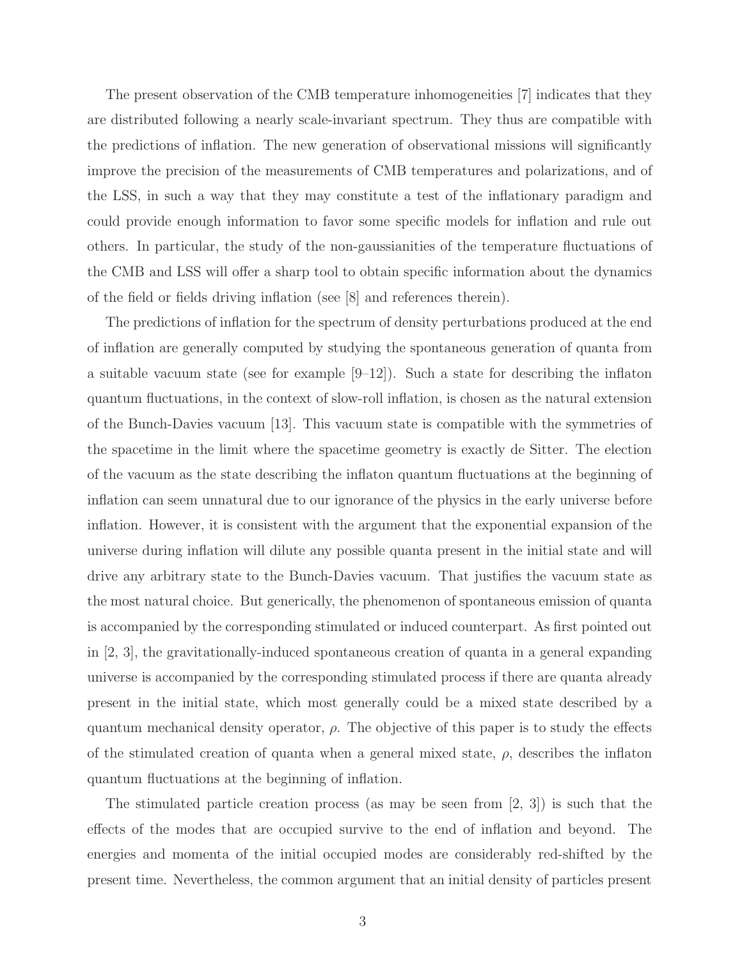The present observation of the CMB temperature inhomogeneities [7] indicates that they are distributed following a nearly scale-invariant spectrum. They thus are compatible with the predictions of inflation. The new generation of observational missions will significantly improve the precision of the measurements of CMB temperatures and polarizations, and of the LSS, in such a way that they may constitute a test of the inflationary paradigm and could provide enough information to favor some specific models for inflation and rule out others. In particular, the study of the non-gaussianities of the temperature fluctuations of the CMB and LSS will offer a sharp tool to obtain specific information about the dynamics of the field or fields driving inflation (see [8] and references therein).

The predictions of inflation for the spectrum of density perturbations produced at the end of inflation are generally computed by studying the spontaneous generation of quanta from a suitable vacuum state (see for example  $[9-12]$ ). Such a state for describing the inflaton quantum fluctuations, in the context of slow-roll inflation, is chosen as the natural extension of the Bunch-Davies vacuum [13]. This vacuum state is compatible with the symmetries of the spacetime in the limit where the spacetime geometry is exactly de Sitter. The election of the vacuum as the state describing the inflaton quantum fluctuations at the beginning of inflation can seem unnatural due to our ignorance of the physics in the early universe before inflation. However, it is consistent with the argument that the exponential expansion of the universe during inflation will dilute any possible quanta present in the initial state and will drive any arbitrary state to the Bunch-Davies vacuum. That justifies the vacuum state as the most natural choice. But generically, the phenomenon of spontaneous emission of quanta is accompanied by the corresponding stimulated or induced counterpart. As first pointed out in [2, 3], the gravitationally-induced spontaneous creation of quanta in a general expanding universe is accompanied by the corresponding stimulated process if there are quanta already present in the initial state, which most generally could be a mixed state described by a quantum mechanical density operator,  $\rho$ . The objective of this paper is to study the effects of the stimulated creation of quanta when a general mixed state,  $\rho$ , describes the inflaton quantum fluctuations at the beginning of inflation.

The stimulated particle creation process (as may be seen from  $(2, 3)$ ) is such that the effects of the modes that are occupied survive to the end of inflation and beyond. The energies and momenta of the initial occupied modes are considerably red-shifted by the present time. Nevertheless, the common argument that an initial density of particles present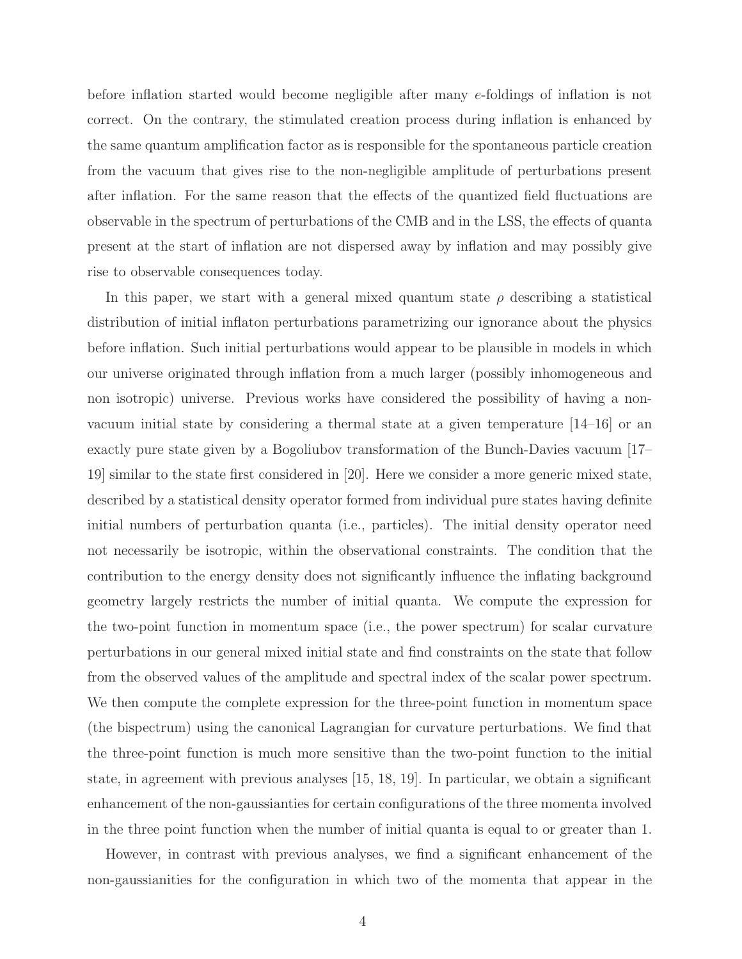before inflation started would become negligible after many e-foldings of inflation is not correct. On the contrary, the stimulated creation process during inflation is enhanced by the same quantum amplification factor as is responsible for the spontaneous particle creation from the vacuum that gives rise to the non-negligible amplitude of perturbations present after inflation. For the same reason that the effects of the quantized field fluctuations are observable in the spectrum of perturbations of the CMB and in the LSS, the effects of quanta present at the start of inflation are not dispersed away by inflation and may possibly give rise to observable consequences today.

In this paper, we start with a general mixed quantum state  $\rho$  describing a statistical distribution of initial inflaton perturbations parametrizing our ignorance about the physics before inflation. Such initial perturbations would appear to be plausible in models in which our universe originated through inflation from a much larger (possibly inhomogeneous and non isotropic) universe. Previous works have considered the possibility of having a nonvacuum initial state by considering a thermal state at a given temperature [14–16] or an exactly pure state given by a Bogoliubov transformation of the Bunch-Davies vacuum [17– 19] similar to the state first considered in [20]. Here we consider a more generic mixed state, described by a statistical density operator formed from individual pure states having definite initial numbers of perturbation quanta (i.e., particles). The initial density operator need not necessarily be isotropic, within the observational constraints. The condition that the contribution to the energy density does not significantly influence the inflating background geometry largely restricts the number of initial quanta. We compute the expression for the two-point function in momentum space (i.e., the power spectrum) for scalar curvature perturbations in our general mixed initial state and find constraints on the state that follow from the observed values of the amplitude and spectral index of the scalar power spectrum. We then compute the complete expression for the three-point function in momentum space (the bispectrum) using the canonical Lagrangian for curvature perturbations. We find that the three-point function is much more sensitive than the two-point function to the initial state, in agreement with previous analyses [15, 18, 19]. In particular, we obtain a significant enhancement of the non-gaussianties for certain configurations of the three momenta involved in the three point function when the number of initial quanta is equal to or greater than 1.

However, in contrast with previous analyses, we find a significant enhancement of the non-gaussianities for the configuration in which two of the momenta that appear in the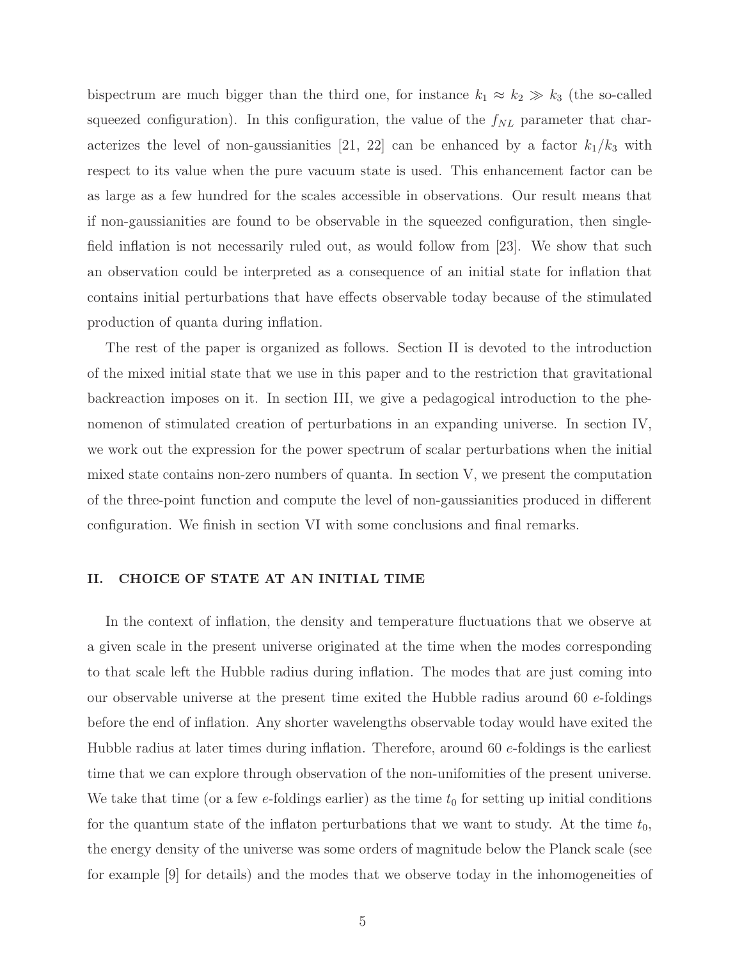bispectrum are much bigger than the third one, for instance  $k_1 \approx k_2 \gg k_3$  (the so-called squeezed configuration). In this configuration, the value of the  $f_{NL}$  parameter that characterizes the level of non-gaussianities [21, 22] can be enhanced by a factor  $k_1/k_3$  with respect to its value when the pure vacuum state is used. This enhancement factor can be as large as a few hundred for the scales accessible in observations. Our result means that if non-gaussianities are found to be observable in the squeezed configuration, then singlefield inflation is not necessarily ruled out, as would follow from [23]. We show that such an observation could be interpreted as a consequence of an initial state for inflation that contains initial perturbations that have effects observable today because of the stimulated production of quanta during inflation.

The rest of the paper is organized as follows. Section II is devoted to the introduction of the mixed initial state that we use in this paper and to the restriction that gravitational backreaction imposes on it. In section III, we give a pedagogical introduction to the phenomenon of stimulated creation of perturbations in an expanding universe. In section IV, we work out the expression for the power spectrum of scalar perturbations when the initial mixed state contains non-zero numbers of quanta. In section V, we present the computation of the three-point function and compute the level of non-gaussianities produced in different configuration. We finish in section VI with some conclusions and final remarks.

#### II. CHOICE OF STATE AT AN INITIAL TIME

In the context of inflation, the density and temperature fluctuations that we observe at a given scale in the present universe originated at the time when the modes corresponding to that scale left the Hubble radius during inflation. The modes that are just coming into our observable universe at the present time exited the Hubble radius around  $60$  e-foldings before the end of inflation. Any shorter wavelengths observable today would have exited the Hubble radius at later times during inflation. Therefore, around 60 e-foldings is the earliest time that we can explore through observation of the non-unifomities of the present universe. We take that time (or a few  $e$ -foldings earlier) as the time  $t_0$  for setting up initial conditions for the quantum state of the inflaton perturbations that we want to study. At the time  $t_0$ , the energy density of the universe was some orders of magnitude below the Planck scale (see for example [9] for details) and the modes that we observe today in the inhomogeneities of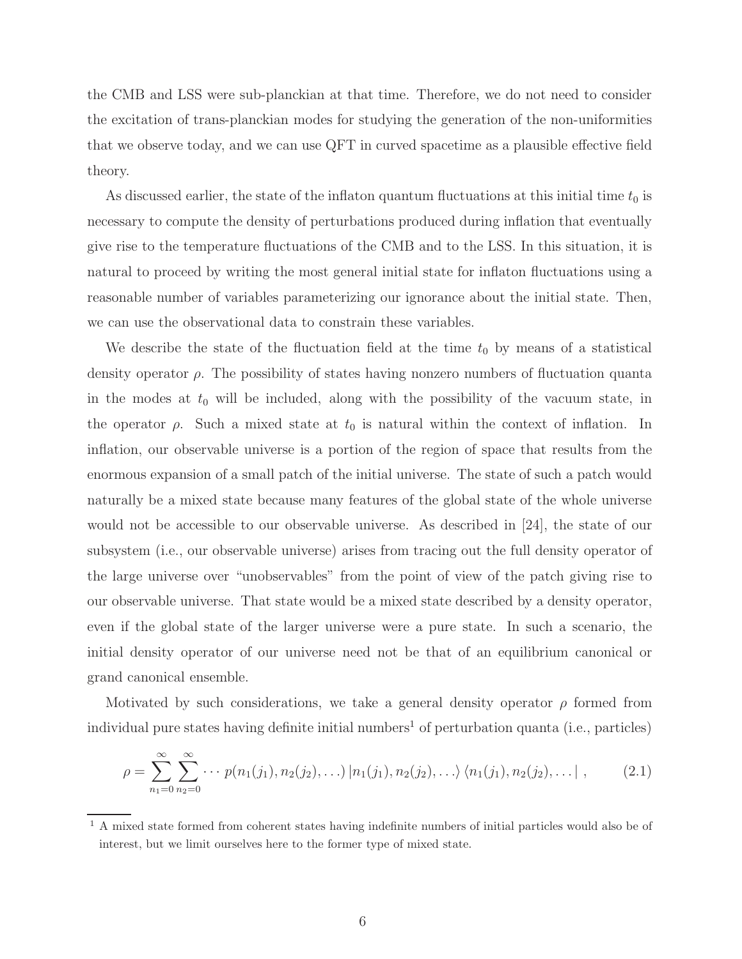the CMB and LSS were sub-planckian at that time. Therefore, we do not need to consider the excitation of trans-planckian modes for studying the generation of the non-uniformities that we observe today, and we can use QFT in curved spacetime as a plausible effective field theory.

As discussed earlier, the state of the inflaton quantum fluctuations at this initial time  $t_0$  is necessary to compute the density of perturbations produced during inflation that eventually give rise to the temperature fluctuations of the CMB and to the LSS. In this situation, it is natural to proceed by writing the most general initial state for inflaton fluctuations using a reasonable number of variables parameterizing our ignorance about the initial state. Then, we can use the observational data to constrain these variables.

We describe the state of the fluctuation field at the time  $t_0$  by means of a statistical density operator  $\rho$ . The possibility of states having nonzero numbers of fluctuation quanta in the modes at  $t_0$  will be included, along with the possibility of the vacuum state, in the operator  $\rho$ . Such a mixed state at  $t_0$  is natural within the context of inflation. In inflation, our observable universe is a portion of the region of space that results from the enormous expansion of a small patch of the initial universe. The state of such a patch would naturally be a mixed state because many features of the global state of the whole universe would not be accessible to our observable universe. As described in [24], the state of our subsystem (i.e., our observable universe) arises from tracing out the full density operator of the large universe over "unobservables" from the point of view of the patch giving rise to our observable universe. That state would be a mixed state described by a density operator, even if the global state of the larger universe were a pure state. In such a scenario, the initial density operator of our universe need not be that of an equilibrium canonical or grand canonical ensemble.

Motivated by such considerations, we take a general density operator  $\rho$  formed from individual pure states having definite initial numbers<sup>1</sup> of perturbation quanta (i.e., particles)

$$
\rho = \sum_{n_1=0}^{\infty} \sum_{n_2=0}^{\infty} \cdots p(n_1(j_1), n_2(j_2), \ldots) |n_1(j_1), n_2(j_2), \ldots\rangle \langle n_1(j_1), n_2(j_2), \ldots| ,
$$
 (2.1)

<sup>&</sup>lt;sup>1</sup> A mixed state formed from coherent states having indefinite numbers of initial particles would also be of interest, but we limit ourselves here to the former type of mixed state.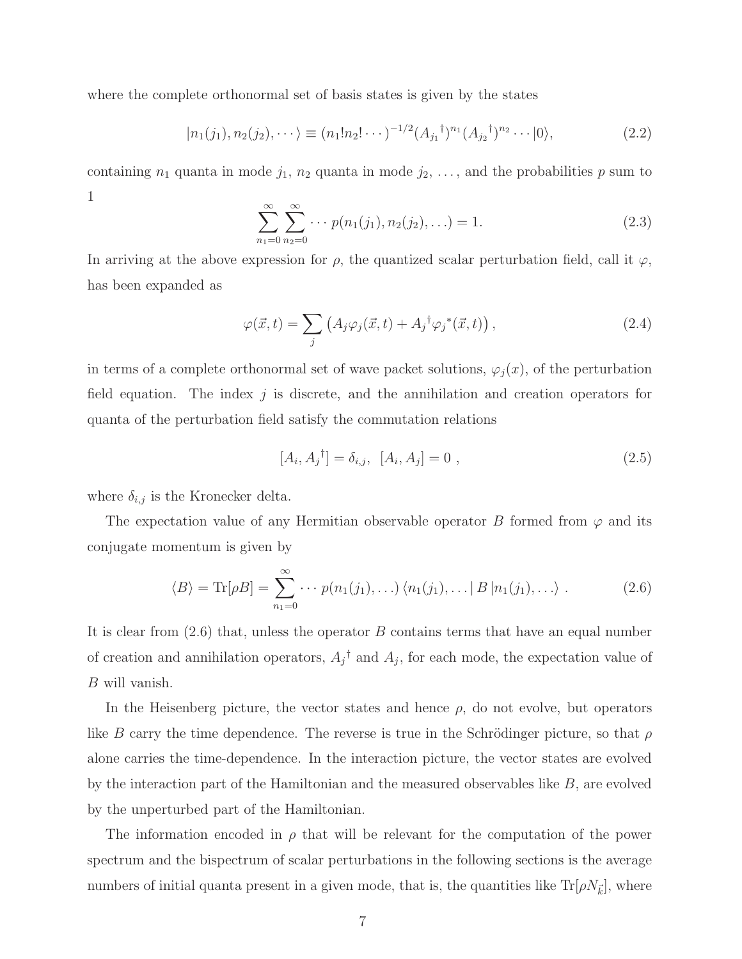where the complete orthonormal set of basis states is given by the states

$$
|n_1(j_1), n_2(j_2), \cdots \rangle \equiv (n_1! n_2! \cdots)^{-1/2} (A_{j_1}^{\dagger})^{n_1} (A_{j_2}^{\dagger})^{n_2} \cdots |0\rangle, \tag{2.2}
$$

containing  $n_1$  quanta in mode  $j_1$ ,  $n_2$  quanta in mode  $j_2$ , ..., and the probabilities p sum to 1

$$
\sum_{n_1=0}^{\infty} \sum_{n_2=0}^{\infty} \cdots p(n_1(j_1), n_2(j_2), \ldots) = 1.
$$
 (2.3)

In arriving at the above expression for  $\rho$ , the quantized scalar perturbation field, call it  $\varphi$ , has been expanded as

$$
\varphi(\vec{x},t) = \sum_{j} \left( A_j \varphi_j(\vec{x},t) + A_j^{\dagger} \varphi_j^*(\vec{x},t) \right), \qquad (2.4)
$$

in terms of a complete orthonormal set of wave packet solutions,  $\varphi_j(x)$ , of the perturbation field equation. The index  $j$  is discrete, and the annihilation and creation operators for quanta of the perturbation field satisfy the commutation relations

$$
[A_i, A_j^{\dagger}] = \delta_{i,j}, \ [A_i, A_j] = 0 , \qquad (2.5)
$$

where  $\delta_{i,j}$  is the Kronecker delta.

The expectation value of any Hermitian observable operator B formed from  $\varphi$  and its conjugate momentum is given by

$$
\langle B \rangle = \text{Tr}[\rho B] = \sum_{n_1=0}^{\infty} \cdots p(n_1(j_1), \ldots) \langle n_1(j_1), \ldots | B | n_1(j_1), \ldots \rangle . \tag{2.6}
$$

It is clear from  $(2.6)$  that, unless the operator B contains terms that have an equal number of creation and annihilation operators,  $A_j^{\dagger}$  and  $A_j$ , for each mode, the expectation value of B will vanish.

In the Heisenberg picture, the vector states and hence  $\rho$ , do not evolve, but operators like B carry the time dependence. The reverse is true in the Schrödinger picture, so that  $\rho$ alone carries the time-dependence. In the interaction picture, the vector states are evolved by the interaction part of the Hamiltonian and the measured observables like B, are evolved by the unperturbed part of the Hamiltonian.

The information encoded in  $\rho$  that will be relevant for the computation of the power spectrum and the bispectrum of scalar perturbations in the following sections is the average numbers of initial quanta present in a given mode, that is, the quantities like  $\text{Tr}[\rho N_{\vec{k}}]$ , where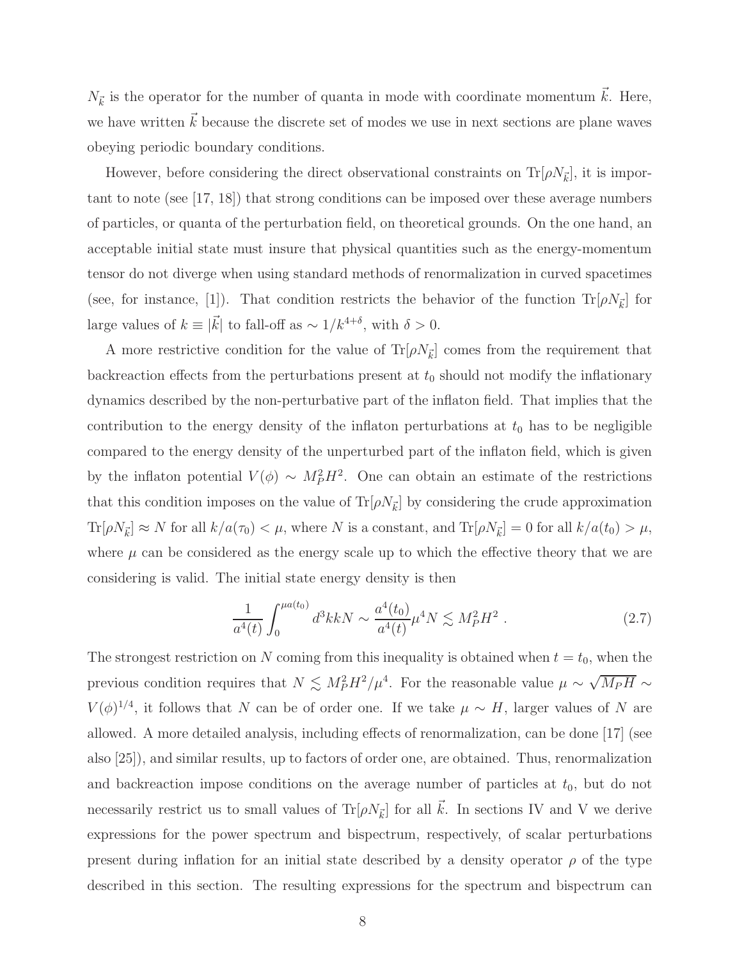$N_{\vec{k}}$  is the operator for the number of quanta in mode with coordinate momentum  $\vec{k}$ . Here, we have written  $k$  because the discrete set of modes we use in next sections are plane waves obeying periodic boundary conditions.

However, before considering the direct observational constraints on  $\text{Tr}[\rho N_{\vec{k}}]$ , it is important to note (see [17, 18]) that strong conditions can be imposed over these average numbers of particles, or quanta of the perturbation field, on theoretical grounds. On the one hand, an acceptable initial state must insure that physical quantities such as the energy-momentum tensor do not diverge when using standard methods of renormalization in curved spacetimes (see, for instance, [1]). That condition restricts the behavior of the function  $\text{Tr}[\rho N_{\vec{k}}]$  for large values of  $k \equiv |\vec{k}|$  to fall-off as  $\sim 1/k^{4+\delta}$ , with  $\delta > 0$ .

A more restrictive condition for the value of  $\text{Tr}[\rho N_{\vec{k}}]$  comes from the requirement that backreaction effects from the perturbations present at  $t_0$  should not modify the inflationary dynamics described by the non-perturbative part of the inflaton field. That implies that the contribution to the energy density of the inflaton perturbations at  $t_0$  has to be negligible compared to the energy density of the unperturbed part of the inflaton field, which is given by the inflaton potential  $V(\phi) \sim M_P^2 H^2$ . One can obtain an estimate of the restrictions that this condition imposes on the value of  $\text{Tr}[\rho N_{\vec{k}}]$  by considering the crude approximation  $\text{Tr}[\rho N_{\vec{k}}] \approx N$  for all  $k/a(\tau_0) < \mu$ , where N is a constant, and  $\text{Tr}[\rho N_{\vec{k}}] = 0$  for all  $k/a(t_0) > \mu$ , where  $\mu$  can be considered as the energy scale up to which the effective theory that we are considering is valid. The initial state energy density is then

$$
\frac{1}{a^4(t)} \int_0^{\mu a(t_0)} d^3k kN \sim \frac{a^4(t_0)}{a^4(t)} \mu^4 N \lesssim M_P^2 H^2 \ . \tag{2.7}
$$

The strongest restriction on N coming from this inequality is obtained when  $t = t_0$ , when the previous condition requires that  $N \lesssim M_P^2 H^2/\mu^4$ . For the reasonable value  $\mu \sim \sqrt{M_P H} \sim$  $V(\phi)^{1/4}$ , it follows that N can be of order one. If we take  $\mu \sim H$ , larger values of N are allowed. A more detailed analysis, including effects of renormalization, can be done [17] (see also [25]), and similar results, up to factors of order one, are obtained. Thus, renormalization and backreaction impose conditions on the average number of particles at  $t_0$ , but do not necessarily restrict us to small values of  $\text{Tr}[\rho N_{\vec{k}}]$  for all  $\vec{k}$ . In sections IV and V we derive expressions for the power spectrum and bispectrum, respectively, of scalar perturbations present during inflation for an initial state described by a density operator  $\rho$  of the type described in this section. The resulting expressions for the spectrum and bispectrum can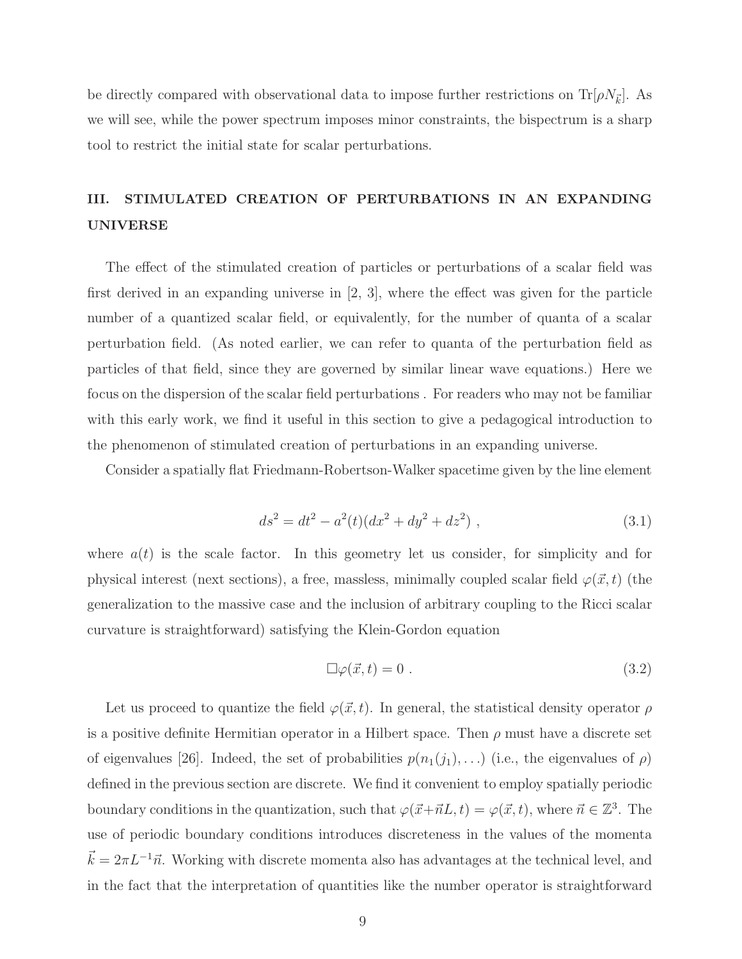be directly compared with observational data to impose further restrictions on  $\text{Tr}[\rho N_{\vec{k}}]$ . As we will see, while the power spectrum imposes minor constraints, the bispectrum is a sharp tool to restrict the initial state for scalar perturbations.

## III. STIMULATED CREATION OF PERTURBATIONS IN AN EXPANDING UNIVERSE

The effect of the stimulated creation of particles or perturbations of a scalar field was first derived in an expanding universe in [2, 3], where the effect was given for the particle number of a quantized scalar field, or equivalently, for the number of quanta of a scalar perturbation field. (As noted earlier, we can refer to quanta of the perturbation field as particles of that field, since they are governed by similar linear wave equations.) Here we focus on the dispersion of the scalar field perturbations . For readers who may not be familiar with this early work, we find it useful in this section to give a pedagogical introduction to the phenomenon of stimulated creation of perturbations in an expanding universe.

Consider a spatially flat Friedmann-Robertson-Walker spacetime given by the line element

$$
ds^{2} = dt^{2} - a^{2}(t)(dx^{2} + dy^{2} + dz^{2}),
$$
\n(3.1)

where  $a(t)$  is the scale factor. In this geometry let us consider, for simplicity and for physical interest (next sections), a free, massless, minimally coupled scalar field  $\varphi(\vec{x}, t)$  (the generalization to the massive case and the inclusion of arbitrary coupling to the Ricci scalar curvature is straightforward) satisfying the Klein-Gordon equation

$$
\Box \varphi(\vec{x},t) = 0 \tag{3.2}
$$

Let us proceed to quantize the field  $\varphi(\vec{x}, t)$ . In general, the statistical density operator  $\rho$ is a positive definite Hermitian operator in a Hilbert space. Then  $\rho$  must have a discrete set of eigenvalues [26]. Indeed, the set of probabilities  $p(n_1(j_1), ...)$  (i.e., the eigenvalues of  $\rho$ ) defined in the previous section are discrete. We find it convenient to employ spatially periodic boundary conditions in the quantization, such that  $\varphi(\vec{x} + \vec{n}L, t) = \varphi(\vec{x}, t)$ , where  $\vec{n} \in \mathbb{Z}^3$ . The use of periodic boundary conditions introduces discreteness in the values of the momenta  $\vec{k} = 2\pi L^{-1}\vec{n}$ . Working with discrete momenta also has advantages at the technical level, and in the fact that the interpretation of quantities like the number operator is straightforward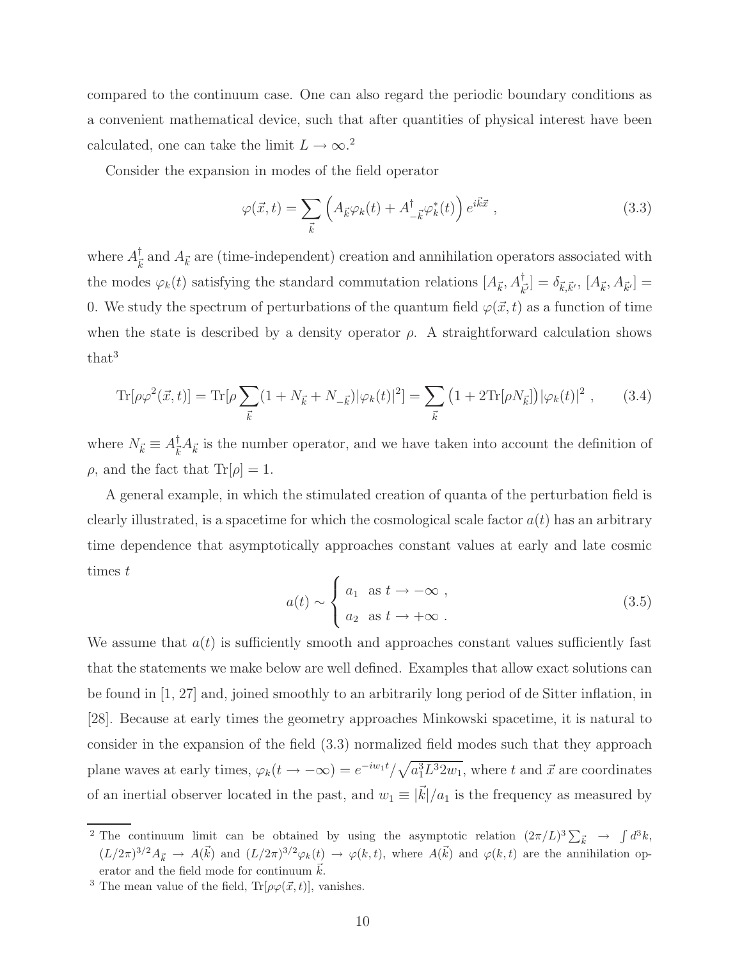compared to the continuum case. One can also regard the periodic boundary conditions as a convenient mathematical device, such that after quantities of physical interest have been calculated, one can take the limit  $L \to \infty$ <sup>2</sup>

Consider the expansion in modes of the field operator

$$
\varphi(\vec{x},t) = \sum_{\vec{k}} \left( A_{\vec{k}} \varphi_k(t) + A_{-\vec{k}}^{\dagger} \varphi_k^*(t) \right) e^{i\vec{k}\vec{x}}, \qquad (3.3)
$$

where  $A^{\dagger}_{\bar{\iota}}$  $\frac{1}{k}$  and  $A_{\vec{k}}$  are (time-independent) creation and annihilation operators associated with the modes  $\varphi_k(t)$  satisfying the standard commutation relations  $[A_{\vec{k}}, A_{\vec{k'}}^{\dagger}] = \delta_{\vec{k}, \vec{k'}}$ ,  $[A_{\vec{k}}, A_{\vec{k'}}] =$ 0. We study the spectrum of perturbations of the quantum field  $\varphi(\vec{x}, t)$  as a function of time when the state is described by a density operator  $\rho$ . A straightforward calculation shows that<sup>3</sup>

$$
\text{Tr}[\rho\varphi^2(\vec{x},t)] = \text{Tr}[\rho \sum_{\vec{k}} (1 + N_{\vec{k}} + N_{-\vec{k}})|\varphi_k(t)|^2] = \sum_{\vec{k}} (1 + 2\text{Tr}[\rho N_{\vec{k}}])|\varphi_k(t)|^2 ,\qquad(3.4)
$$

where  $N_{\vec{k}} \equiv A_{\vec{k}}^{\dagger}$  $\frac{1}{k}A_{\vec{k}}$  is the number operator, and we have taken into account the definition of  $\rho$ , and the fact that  $\text{Tr}[\rho] = 1$ .

A general example, in which the stimulated creation of quanta of the perturbation field is clearly illustrated, is a spacetime for which the cosmological scale factor  $a(t)$  has an arbitrary time dependence that asymptotically approaches constant values at early and late cosmic times t

$$
a(t) \sim \begin{cases} a_1 & \text{as } t \to -\infty ,\\ a_2 & \text{as } t \to +\infty . \end{cases} \tag{3.5}
$$

We assume that  $a(t)$  is sufficiently smooth and approaches constant values sufficiently fast that the statements we make below are well defined. Examples that allow exact solutions can be found in [1, 27] and, joined smoothly to an arbitrarily long period of de Sitter inflation, in [28]. Because at early times the geometry approaches Minkowski spacetime, it is natural to consider in the expansion of the field (3.3) normalized field modes such that they approach plane waves at early times,  $\varphi_k(t \to -\infty) = e^{-iw_1t}/\sqrt{a_1^3 L^3 2w_1}$ , where t and  $\vec{x}$  are coordinates of an inertial observer located in the past, and  $w_1 \equiv |\vec{k}|/a_1$  is the frequency as measured by

<sup>&</sup>lt;sup>2</sup> The continuum limit can be obtained by using the asymptotic relation  $(2\pi/L)^3 \sum_{\vec{k}} \rightarrow \int d^3k$ ,  $(L/2\pi)^{3/2}A_{\vec{k}} \to A(\vec{k})$  and  $(L/2\pi)^{3/2}\varphi_k(t) \to \varphi(k,t)$ , where  $A(\vec{k})$  and  $\varphi(k,t)$  are the annihilation operator and the field mode for continuum  $\vec{k}$ .

<sup>&</sup>lt;sup>3</sup> The mean value of the field,  $\text{Tr}[\rho\varphi(\vec{x}, t)]$ , vanishes.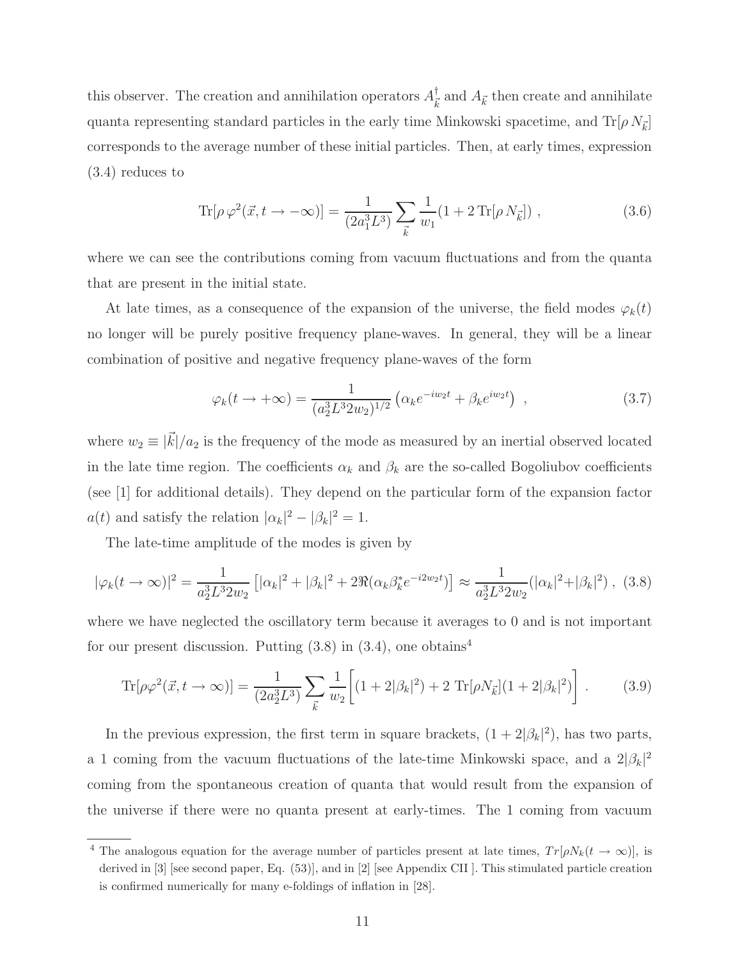this observer. The creation and annihilation operators  $A^{\dagger}_{\bar{\iota}}$  $\frac{1}{k}$  and  $A_{\vec{k}}$  then create and annihilate quanta representing standard particles in the early time Minkowski spacetime, and  $\text{Tr}[\rho N_{\vec{k}}]$ corresponds to the average number of these initial particles. Then, at early times, expression (3.4) reduces to

$$
\text{Tr}[\rho \,\varphi^2(\vec{x}, t \to -\infty)] = \frac{1}{(2a_1^3 L^3)} \sum_{\vec{k}} \frac{1}{w_1} (1 + 2 \,\text{Tr}[\rho \, N_{\vec{k}}]) \;, \tag{3.6}
$$

where we can see the contributions coming from vacuum fluctuations and from the quanta that are present in the initial state.

At late times, as a consequence of the expansion of the universe, the field modes  $\varphi_k(t)$ no longer will be purely positive frequency plane-waves. In general, they will be a linear combination of positive and negative frequency plane-waves of the form

$$
\varphi_k(t \to +\infty) = \frac{1}{(a_2^3 L^3 2w_2)^{1/2}} \left( \alpha_k e^{-iw_2 t} + \beta_k e^{iw_2 t} \right) , \qquad (3.7)
$$

where  $w_2 \equiv |\vec{k}|/a_2$  is the frequency of the mode as measured by an inertial observed located in the late time region. The coefficients  $\alpha_k$  and  $\beta_k$  are the so-called Bogoliubov coefficients (see [1] for additional details). They depend on the particular form of the expansion factor  $a(t)$  and satisfy the relation  $|\alpha_k|^2 - |\beta_k|^2 = 1$ .

The late-time amplitude of the modes is given by

$$
|\varphi_k(t \to \infty)|^2 = \frac{1}{a_2^3 L^3 2w_2} \left[ |\alpha_k|^2 + |\beta_k|^2 + 2\Re(\alpha_k \beta_k^* e^{-i2w_2 t}) \right] \approx \frac{1}{a_2^3 L^3 2w_2} (|\alpha_k|^2 + |\beta_k|^2), \tag{3.8}
$$

where we have neglected the oscillatory term because it averages to 0 and is not important for our present discussion. Putting  $(3.8)$  in  $(3.4)$ , one obtains<sup>4</sup>

$$
\text{Tr}[\rho\varphi^2(\vec{x}, t \to \infty)] = \frac{1}{(2a_2^3 L^3)} \sum_{\vec{k}} \frac{1}{w_2} \left[ (1 + 2|\beta_k|^2) + 2 \text{ Tr}[\rho N_{\vec{k}}](1 + 2|\beta_k|^2) \right]. \tag{3.9}
$$

In the previous expression, the first term in square brackets,  $(1 + 2|\beta_k|^2)$ , has two parts, a 1 coming from the vacuum fluctuations of the late-time Minkowski space, and a  $2|\beta_k|^2$ coming from the spontaneous creation of quanta that would result from the expansion of the universe if there were no quanta present at early-times. The 1 coming from vacuum

<sup>&</sup>lt;sup>4</sup> The analogous equation for the average number of particles present at late times,  $Tr[\rho N_k(t \to \infty)]$ , is derived in [3] [see second paper, Eq. (53)], and in [2] [see Appendix CII ]. This stimulated particle creation is confirmed numerically for many e-foldings of inflation in [28].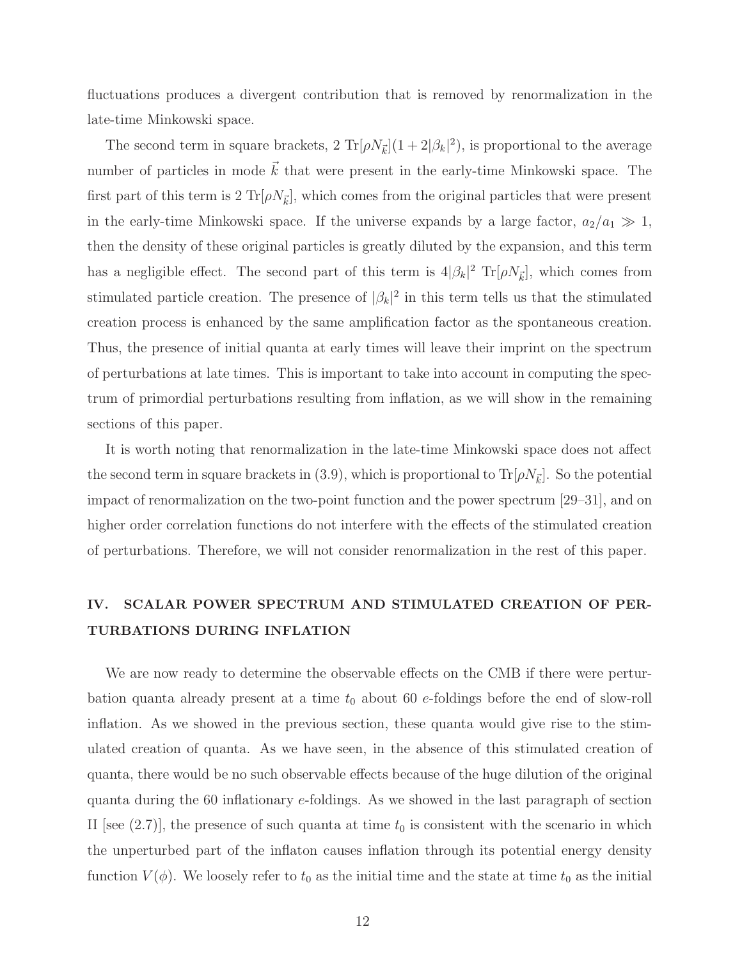fluctuations produces a divergent contribution that is removed by renormalization in the late-time Minkowski space.

The second term in square brackets,  $2 \text{ Tr}[\rho N_{\vec{k}}](1 + 2|\beta_k|^2)$ , is proportional to the average number of particles in mode  $\vec{k}$  that were present in the early-time Minkowski space. The first part of this term is  $2 \text{ Tr}[\rho N_{\vec{k}}]$ , which comes from the original particles that were present in the early-time Minkowski space. If the universe expands by a large factor,  $a_2/a_1 \gg 1$ , then the density of these original particles is greatly diluted by the expansion, and this term has a negligible effect. The second part of this term is  $4|\beta_k|^2$  Tr $[\rho N_{\vec{k}}]$ , which comes from stimulated particle creation. The presence of  $|\beta_k|^2$  in this term tells us that the stimulated creation process is enhanced by the same amplification factor as the spontaneous creation. Thus, the presence of initial quanta at early times will leave their imprint on the spectrum of perturbations at late times. This is important to take into account in computing the spectrum of primordial perturbations resulting from inflation, as we will show in the remaining sections of this paper.

It is worth noting that renormalization in the late-time Minkowski space does not affect the second term in square brackets in (3.9), which is proportional to  $\text{Tr}[\rho N_{\vec{k}}]$ . So the potential impact of renormalization on the two-point function and the power spectrum [29–31], and on higher order correlation functions do not interfere with the effects of the stimulated creation of perturbations. Therefore, we will not consider renormalization in the rest of this paper.

### IV. SCALAR POWER SPECTRUM AND STIMULATED CREATION OF PER-TURBATIONS DURING INFLATION

We are now ready to determine the observable effects on the CMB if there were perturbation quanta already present at a time  $t_0$  about 60 e-foldings before the end of slow-roll inflation. As we showed in the previous section, these quanta would give rise to the stimulated creation of quanta. As we have seen, in the absence of this stimulated creation of quanta, there would be no such observable effects because of the huge dilution of the original quanta during the 60 inflationary e-foldings. As we showed in the last paragraph of section II [see  $(2.7)$ ], the presence of such quanta at time  $t_0$  is consistent with the scenario in which the unperturbed part of the inflaton causes inflation through its potential energy density function  $V(\phi)$ . We loosely refer to  $t_0$  as the initial time and the state at time  $t_0$  as the initial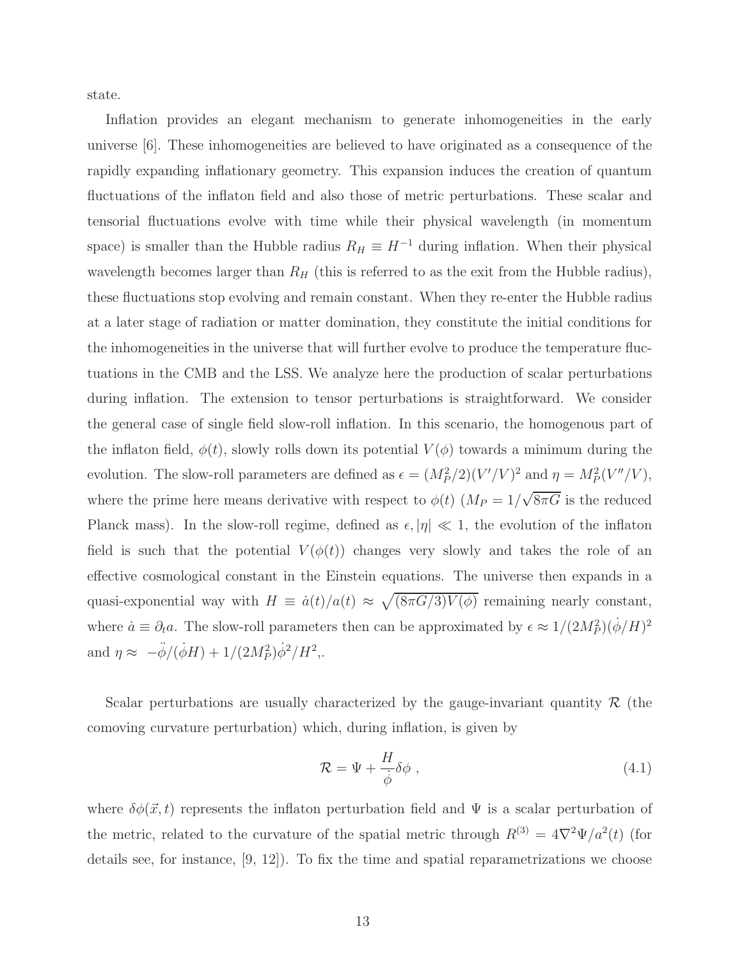state.

Inflation provides an elegant mechanism to generate inhomogeneities in the early universe [6]. These inhomogeneities are believed to have originated as a consequence of the rapidly expanding inflationary geometry. This expansion induces the creation of quantum fluctuations of the inflaton field and also those of metric perturbations. These scalar and tensorial fluctuations evolve with time while their physical wavelength (in momentum space) is smaller than the Hubble radius  $R_H \equiv H^{-1}$  during inflation. When their physical wavelength becomes larger than  $R_H$  (this is referred to as the exit from the Hubble radius), these fluctuations stop evolving and remain constant. When they re-enter the Hubble radius at a later stage of radiation or matter domination, they constitute the initial conditions for the inhomogeneities in the universe that will further evolve to produce the temperature fluctuations in the CMB and the LSS. We analyze here the production of scalar perturbations during inflation. The extension to tensor perturbations is straightforward. We consider the general case of single field slow-roll inflation. In this scenario, the homogenous part of the inflaton field,  $\phi(t)$ , slowly rolls down its potential  $V(\phi)$  towards a minimum during the evolution. The slow-roll parameters are defined as  $\epsilon = (M_P^2/2)(V'/V)^2$  and  $\eta = M_P^2(V''/V)$ , where the prime here means derivative with respect to  $\phi(t)$   $(M_P = 1/\sqrt{8\pi G})$  is the reduced Planck mass). In the slow-roll regime, defined as  $\epsilon, |\eta| \ll 1$ , the evolution of the inflaton field is such that the potential  $V(\phi(t))$  changes very slowly and takes the role of an effective cosmological constant in the Einstein equations. The universe then expands in a quasi-exponential way with  $H \equiv \dot{a}(t)/a(t) \approx \sqrt{(8\pi G/3)V(\phi)}$  remaining nearly constant, where  $\dot{a} \equiv \partial_t a$ . The slow-roll parameters then can be approximated by  $\epsilon \approx 1/(2M_P^2)(\dot{\phi}/H)^2$ and  $\eta \approx -\ddot{\phi}/(\dot{\phi}H) + 1/(2M_P^2)\dot{\phi}^2/H^2$ ,.

Scalar perturbations are usually characterized by the gauge-invariant quantity  $\mathcal R$  (the comoving curvature perturbation) which, during inflation, is given by

$$
\mathcal{R} = \Psi + \frac{H}{\dot{\phi}} \delta \phi \tag{4.1}
$$

where  $\delta\phi(\vec{x}, t)$  represents the inflaton perturbation field and  $\Psi$  is a scalar perturbation of the metric, related to the curvature of the spatial metric through  $R^{(3)} = 4\nabla^2\Psi/a^2(t)$  (for details see, for instance, [9, 12]). To fix the time and spatial reparametrizations we choose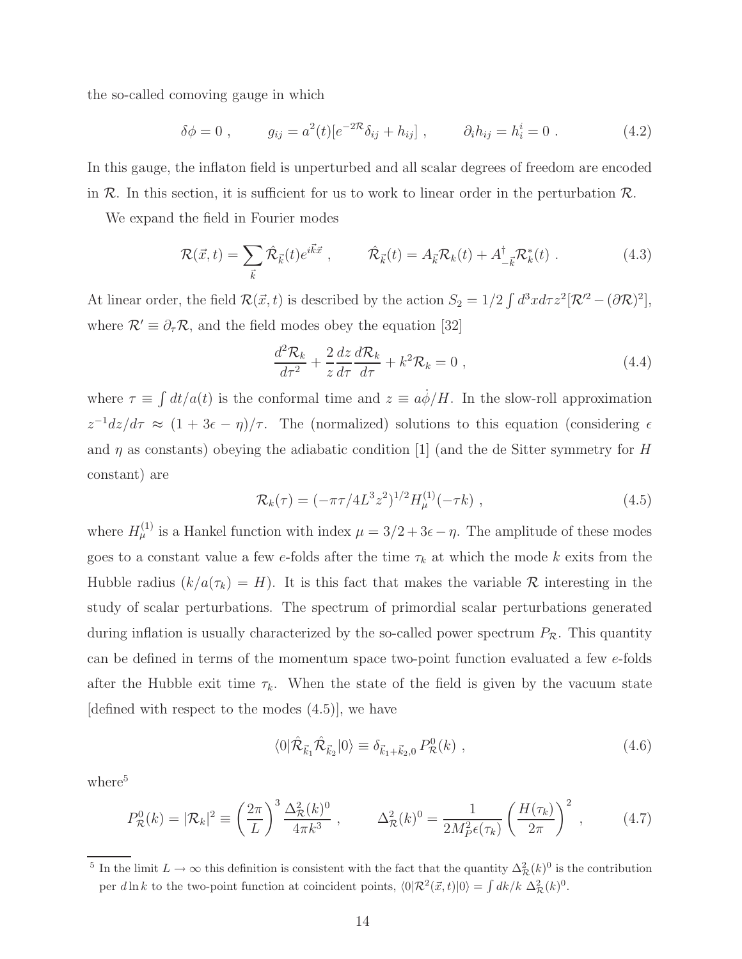the so-called comoving gauge in which

$$
\delta \phi = 0 , \t g_{ij} = a^2(t) [e^{-2\mathcal{R}} \delta_{ij} + h_{ij} ] , \t \partial_i h_{ij} = h_i^i = 0 . \t (4.2)
$$

In this gauge, the inflaton field is unperturbed and all scalar degrees of freedom are encoded in  $\mathcal R$ . In this section, it is sufficient for us to work to linear order in the perturbation  $\mathcal R$ .

We expand the field in Fourier modes

$$
\mathcal{R}(\vec{x},t) = \sum_{\vec{k}} \hat{\mathcal{R}}_{\vec{k}}(t) e^{i\vec{k}\vec{x}} , \qquad \hat{\mathcal{R}}_{\vec{k}}(t) = A_{\vec{k}} \mathcal{R}_k(t) + A_{-\vec{k}}^{\dagger} \mathcal{R}_k^*(t) . \qquad (4.3)
$$

At linear order, the field  $\mathcal{R}(\vec{x},t)$  is described by the action  $S_2 = 1/2 \int d^3x d\tau z^2 [\mathcal{R}'^2 - (\partial \mathcal{R})^2]$ , where  $\mathcal{R}' \equiv \partial_{\tau} \mathcal{R}$ , and the field modes obey the equation [32]

$$
\frac{d^2 \mathcal{R}_k}{d\tau^2} + \frac{2}{z} \frac{dz}{d\tau} \frac{d\mathcal{R}_k}{d\tau} + k^2 \mathcal{R}_k = 0 \;, \tag{4.4}
$$

where  $\tau \equiv \int dt/a(t)$  is the conformal time and  $z \equiv a\dot{\phi}/H$ . In the slow-roll approximation  $z^{-1}dz/d\tau \approx (1+3\epsilon-\eta)/\tau$ . The (normalized) solutions to this equation (considering  $\epsilon$ and  $\eta$  as constants) obeying the adiabatic condition [1] (and the de Sitter symmetry for H constant) are

$$
\mathcal{R}_k(\tau) = (-\pi \tau / 4L^3 z^2)^{1/2} H_\mu^{(1)}(-\tau k) , \qquad (4.5)
$$

where  $H_{\mu}^{(1)}$  is a Hankel function with index  $\mu = 3/2 + 3\epsilon - \eta$ . The amplitude of these modes goes to a constant value a few e-folds after the time  $\tau_k$  at which the mode k exits from the Hubble radius  $(k/a(\tau_k) = H)$ . It is this fact that makes the variable R interesting in the study of scalar perturbations. The spectrum of primordial scalar perturbations generated during inflation is usually characterized by the so-called power spectrum  $P_{\mathcal{R}}$ . This quantity can be defined in terms of the momentum space two-point function evaluated a few e-folds after the Hubble exit time  $\tau_k$ . When the state of the field is given by the vacuum state defined with respect to the modes  $(4.5)$ , we have

$$
\langle 0|\hat{\mathcal{R}}_{\vec{k}_1}\hat{\mathcal{R}}_{\vec{k}_2}|0\rangle \equiv \delta_{\vec{k}_1+\vec{k}_2,0} P_{\mathcal{R}}^0(k) , \qquad (4.6)
$$

where<sup>5</sup>

$$
P_{\mathcal{R}}^{0}(k) = |\mathcal{R}_{k}|^{2} \equiv \left(\frac{2\pi}{L}\right)^{3} \frac{\Delta_{\mathcal{R}}^{2}(k)^{0}}{4\pi k^{3}} , \qquad \Delta_{\mathcal{R}}^{2}(k)^{0} = \frac{1}{2M_{P}^{2}\epsilon(\tau_{k})} \left(\frac{H(\tau_{k})}{2\pi}\right)^{2} , \qquad (4.7)
$$

<sup>&</sup>lt;sup>5</sup> In the limit  $L \to \infty$  this definition is consistent with the fact that the quantity  $\Delta^2_{\mathcal{R}}(k)^0$  is the contribution per d ln k to the two-point function at coincident points,  $\langle 0 | \mathcal{R}^2(\vec{x}, t) | 0 \rangle = \int dk / k \, \Delta^2_{\mathcal{R}}(k)^0$ .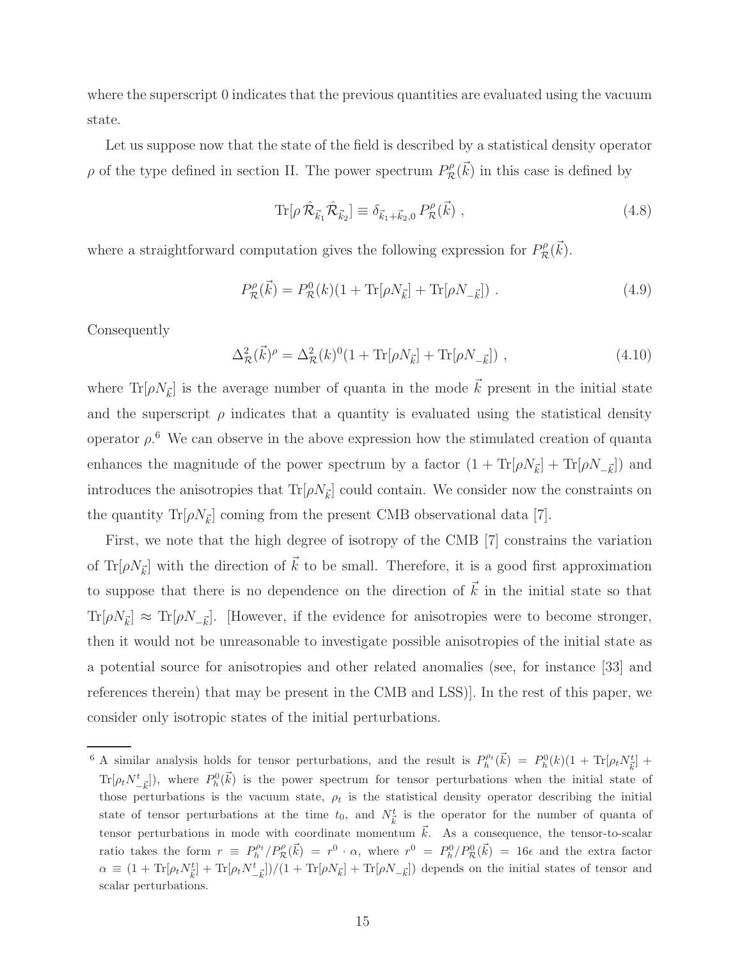where the superscript 0 indicates that the previous quantities are evaluated using the vacuum state.

Let us suppose now that the state of the field is described by a statistical density operator  $\rho$  of the type defined in section II. The power spectrum  $P_{\mathcal{R}}^{\rho}(\vec{k})$  in this case is defined by

$$
\text{Tr}[\rho \,\hat{\mathcal{R}}_{\vec{k}_1} \hat{\mathcal{R}}_{\vec{k}_2}] \equiv \delta_{\vec{k}_1 + \vec{k}_2,0} \, P_{\mathcal{R}}^{\rho}(\vec{k}) \;, \tag{4.8}
$$

where a straightforward computation gives the following expression for  $P_{\mathcal{R}}^{\rho}(\vec{k})$ .

$$
P_{\mathcal{R}}^{\rho}(\vec{k}) = P_{\mathcal{R}}^{0}(k)(1 + \text{Tr}[\rho N_{\vec{k}}] + \text{Tr}[\rho N_{-\vec{k}}]) . \qquad (4.9)
$$

Consequently

$$
\Delta_{\mathcal{R}}^2(\vec{k})^{\rho} = \Delta_{\mathcal{R}}^2(k)^0 (1 + \text{Tr}[\rho N_{\vec{k}}] + \text{Tr}[\rho N_{-\vec{k}}]) , \qquad (4.10)
$$

where  $\text{Tr}[\rho N_{\vec{k}}]$  is the average number of quanta in the mode  $\vec{k}$  present in the initial state and the superscript  $\rho$  indicates that a quantity is evaluated using the statistical density operator  $\rho$ <sup>6</sup>. We can observe in the above expression how the stimulated creation of quanta enhances the magnitude of the power spectrum by a factor  $(1 + Tr[\rho N_{\vec{k}}] + Tr[\rho N_{-\vec{k}}])$  and introduces the anisotropies that  $\text{Tr}[\rho N_{\vec{k}}]$  could contain. We consider now the constraints on the quantity  $\text{Tr}[\rho N_{\vec{k}}]$  coming from the present CMB observational data [7].

First, we note that the high degree of isotropy of the CMB [7] constrains the variation of Tr $[\rho N_{\vec{k}}]$  with the direction of  $\vec{k}$  to be small. Therefore, it is a good first approximation to suppose that there is no dependence on the direction of  $\vec{k}$  in the initial state so that  $\text{Tr}[\rho N_{\vec{k}}] \approx \text{Tr}[\rho N_{-\vec{k}}].$  [However, if the evidence for anisotropies were to become stronger, then it would not be unreasonable to investigate possible anisotropies of the initial state as a potential source for anisotropies and other related anomalies (see, for instance [33] and references therein) that may be present in the CMB and LSS)]. In the rest of this paper, we consider only isotropic states of the initial perturbations.

<sup>&</sup>lt;sup>6</sup> A similar analysis holds for tensor perturbations, and the result is  $P_h^{\rho_t}(\vec{k}) = P_h^0(k)(1 + \text{Tr}[\rho_t N_{\vec{k}}^t] +$  $\text{Tr}[\rho_t N_{-\vec{k}}^t]$ , where  $P_h^0(\vec{k})$  is the power spectrum for tensor perturbations when the initial state of those perturbations is the vacuum state,  $\rho_t$  is the statistical density operator describing the initial state of tensor perturbations at the time  $t_0$ , and  $N_k^t$  is the operator for the number of quanta of tensor perturbations in mode with coordinate momentum  $\vec{k}$ . As a consequence, the tensor-to-scalar ratio takes the form  $r \equiv P_h^{\rho_t}/P_{\mathcal{R}}^{\rho}(\vec{k}) = r^0 \cdot \alpha$ , where  $r^0 = P_h^0/P_{\mathcal{R}}^0(\vec{k}) = 16\epsilon$  and the extra factor  $\alpha \equiv (1 + \text{Tr}[\rho_t N_{\vec{k}}^t] + \text{Tr}[\rho_t N_{-\vec{k}}^t] )/(1 + \text{Tr}[\rho N_{\vec{k}}] + \text{Tr}[\rho N_{-\vec{k}}] )$  depends on the initial states of tensor and scalar perturbations.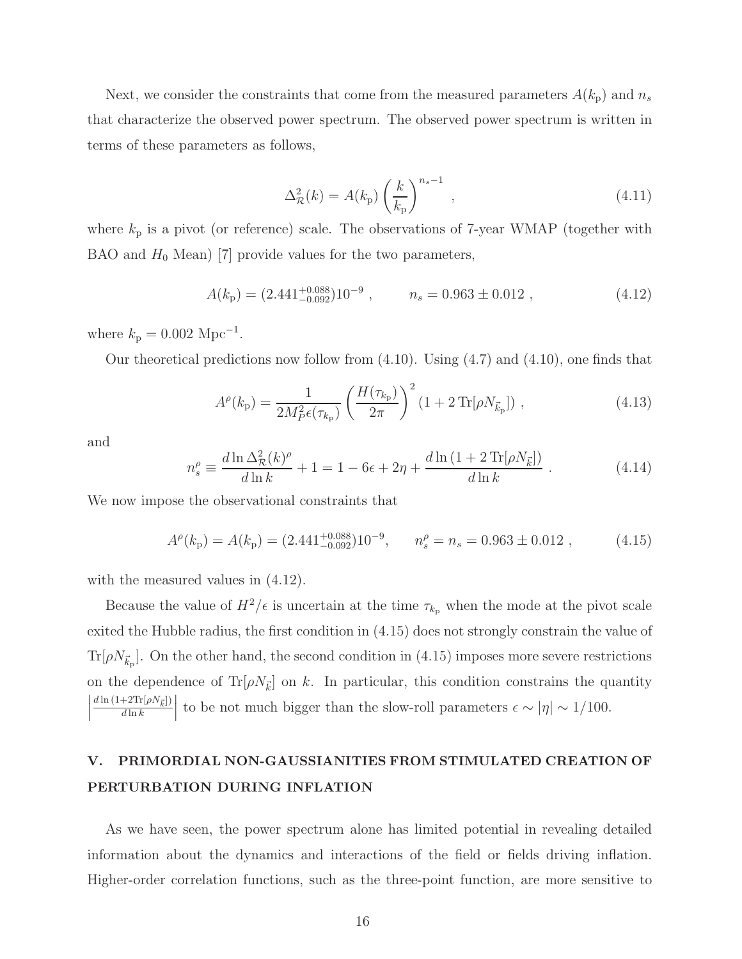Next, we consider the constraints that come from the measured parameters  $A(k_{p})$  and  $n_{s}$ that characterize the observed power spectrum. The observed power spectrum is written in terms of these parameters as follows,

$$
\Delta_{\mathcal{R}}^2(k) = A(k_{\rm p}) \left(\frac{k}{k_{\rm p}}\right)^{n_{\rm s}-1},\tag{4.11}
$$

where  $k_{\rm p}$  is a pivot (or reference) scale. The observations of 7-year WMAP (together with BAO and  $H_0$  Mean) [7] provide values for the two parameters,

$$
A(k_{\rm p}) = (2.441^{+0.088}_{-0.092})10^{-9} , \qquad n_s = 0.963 \pm 0.012 , \qquad (4.12)
$$

where  $k_{\rm p} = 0.002 \text{ Mpc}^{-1}$ .

Our theoretical predictions now follow from (4.10). Using (4.7) and (4.10), one finds that

$$
A^{\rho}(k_{\rm p}) = \frac{1}{2M_P^2 \epsilon(\tau_{k_{\rm p}})} \left(\frac{H(\tau_{k_{\rm p}})}{2\pi}\right)^2 (1 + 2 \operatorname{Tr}[\rho N_{\vec{k}_{\rm p}}]) \tag{4.13}
$$

and

$$
n_s^{\rho} \equiv \frac{d \ln \Delta_{\mathcal{R}}^2(k)^{\rho}}{d \ln k} + 1 = 1 - 6\epsilon + 2\eta + \frac{d \ln \left(1 + 2 \operatorname{Tr}[\rho N_{\vec{k}}]\right)}{d \ln k} \,. \tag{4.14}
$$

We now impose the observational constraints that

$$
A^{\rho}(k_{\rm p}) = A(k_{\rm p}) = (2.441^{+0.088}_{-0.092})10^{-9}, \qquad n_s^{\rho} = n_s = 0.963 \pm 0.012 \tag{4.15}
$$

with the measured values in  $(4.12)$ .

Because the value of  $H^2/\epsilon$  is uncertain at the time  $\tau_{k_p}$  when the mode at the pivot scale exited the Hubble radius, the first condition in (4.15) does not strongly constrain the value of  $\text{Tr}[\rho N_{\vec{k}_p}].$  On the other hand, the second condition in (4.15) imposes more severe restrictions on the dependence of  $\text{Tr}[\rho N_{\vec{k}}]$  on k. In particular, this condition constrains the quantity  $\begin{array}{c} \hline \end{array}$  $d \ln \left( 1 + 2 \text{Tr}[\rho N_{\vec{k}}] \right)$  $d \ln k$ to be not much bigger than the slow-roll parameters  $\epsilon \sim |\eta| \sim 1/100$ .

## V. PRIMORDIAL NON-GAUSSIANITIES FROM STIMULATED CREATION OF PERTURBATION DURING INFLATION

As we have seen, the power spectrum alone has limited potential in revealing detailed information about the dynamics and interactions of the field or fields driving inflation. Higher-order correlation functions, such as the three-point function, are more sensitive to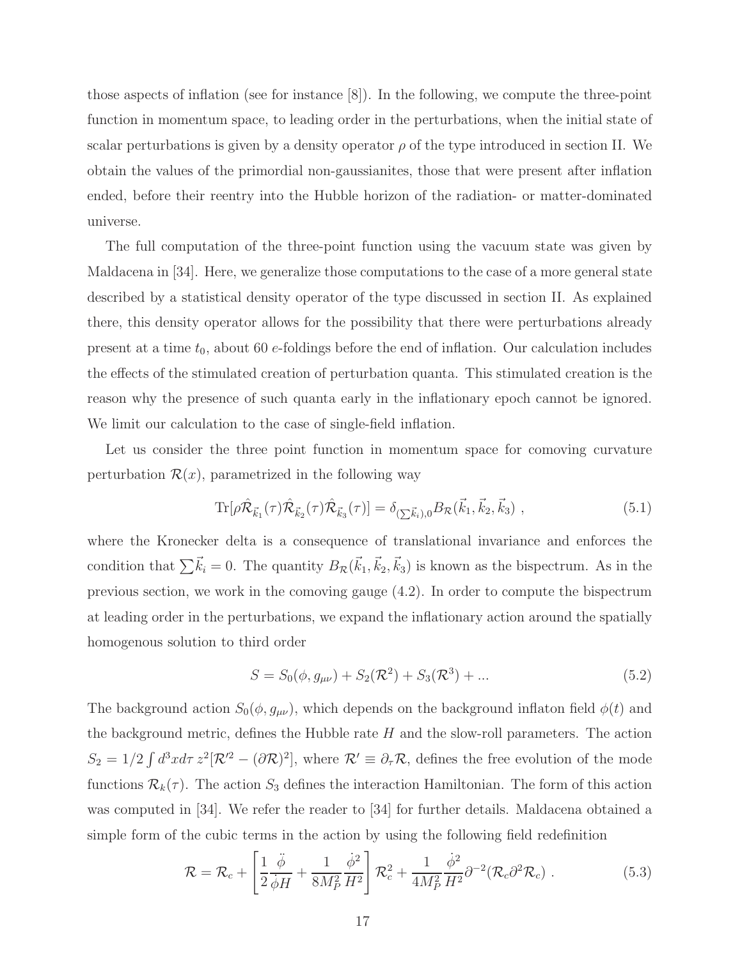those aspects of inflation (see for instance [8]). In the following, we compute the three-point function in momentum space, to leading order in the perturbations, when the initial state of scalar perturbations is given by a density operator  $\rho$  of the type introduced in section II. We obtain the values of the primordial non-gaussianites, those that were present after inflation ended, before their reentry into the Hubble horizon of the radiation- or matter-dominated universe.

The full computation of the three-point function using the vacuum state was given by Maldacena in [34]. Here, we generalize those computations to the case of a more general state described by a statistical density operator of the type discussed in section II. As explained there, this density operator allows for the possibility that there were perturbations already present at a time  $t_0$ , about 60 e-foldings before the end of inflation. Our calculation includes the effects of the stimulated creation of perturbation quanta. This stimulated creation is the reason why the presence of such quanta early in the inflationary epoch cannot be ignored. We limit our calculation to the case of single-field inflation.

Let us consider the three point function in momentum space for comoving curvature perturbation  $\mathcal{R}(x)$ , parametrized in the following way

$$
\text{Tr}[\rho \hat{\mathcal{R}}_{\vec{k}_1}(\tau) \hat{\mathcal{R}}_{\vec{k}_2}(\tau) \hat{\mathcal{R}}_{\vec{k}_3}(\tau)] = \delta_{(\sum \vec{k}_i),0} B_{\mathcal{R}}(\vec{k}_1, \vec{k}_2, \vec{k}_3) , \qquad (5.1)
$$

where the Kronecker delta is a consequence of translational invariance and enforces the condition that  $\sum \vec{k}_i = 0$ . The quantity  $B_{\mathcal{R}}(\vec{k}_1, \vec{k}_2, \vec{k}_3)$  is known as the bispectrum. As in the previous section, we work in the comoving gauge (4.2). In order to compute the bispectrum at leading order in the perturbations, we expand the inflationary action around the spatially homogenous solution to third order

$$
S = S_0(\phi, g_{\mu\nu}) + S_2(\mathcal{R}^2) + S_3(\mathcal{R}^3) + \dots
$$
\n(5.2)

The background action  $S_0(\phi, g_{\mu\nu})$ , which depends on the background inflaton field  $\phi(t)$  and the background metric, defines the Hubble rate  $H$  and the slow-roll parameters. The action  $S_2 = 1/2 \int d^3x d\tau z^2 [\mathcal{R}'^2 - (\partial \mathcal{R})^2]$ , where  $\mathcal{R}' \equiv \partial_\tau \mathcal{R}$ , defines the free evolution of the mode functions  $\mathcal{R}_k(\tau)$ . The action  $S_3$  defines the interaction Hamiltonian. The form of this action was computed in [34]. We refer the reader to [34] for further details. Maldacena obtained a simple form of the cubic terms in the action by using the following field redefinition

$$
\mathcal{R} = \mathcal{R}_c + \left[ \frac{1}{2} \frac{\ddot{\phi}}{\dot{\phi} H} + \frac{1}{8 M_P^2} \frac{\dot{\phi}^2}{H^2} \right] \mathcal{R}_c^2 + \frac{1}{4 M_P^2} \frac{\dot{\phi}^2}{H^2} \partial^{-2} (\mathcal{R}_c \partial^2 \mathcal{R}_c) \ . \tag{5.3}
$$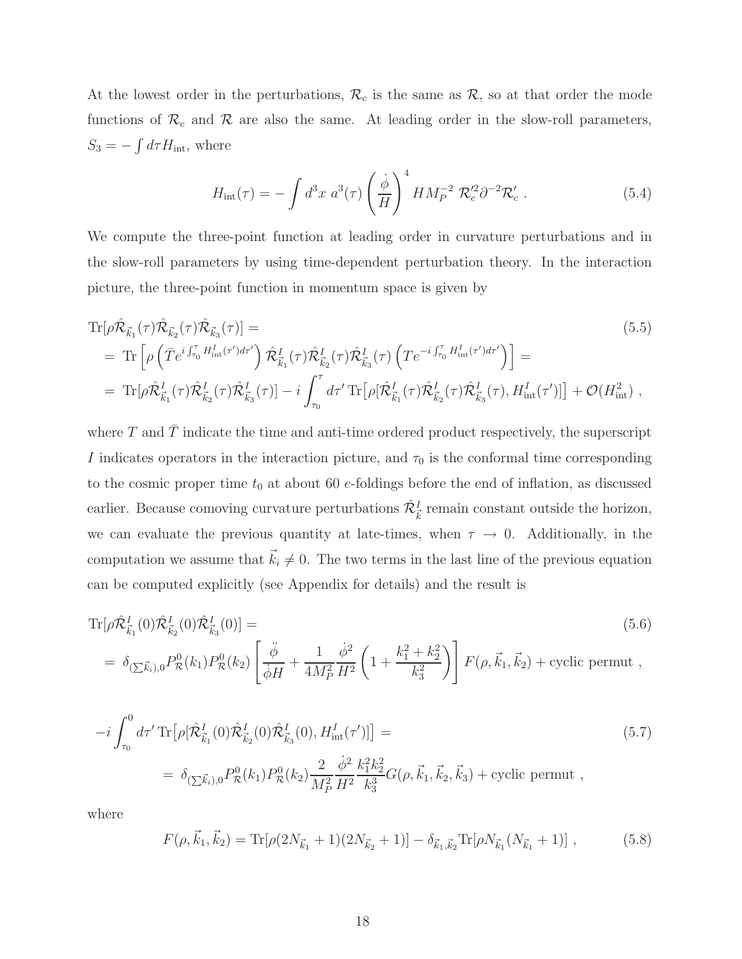At the lowest order in the perturbations,  $\mathcal{R}_c$  is the same as  $\mathcal{R}$ , so at that order the mode functions of  $\mathcal{R}_c$  and  $\mathcal{R}$  are also the same. At leading order in the slow-roll parameters,  $S_3 = -\int d\tau H_{\text{int}}$ , where

$$
H_{\rm int}(\tau) = -\int d^3x \; a^3(\tau) \left(\frac{\dot{\phi}}{H}\right)^4 H M_P^{-2} \; \mathcal{R}_c^{\prime 2} \partial^{-2} \mathcal{R}_c^{\prime} \; . \tag{5.4}
$$

We compute the three-point function at leading order in curvature perturbations and in the slow-roll parameters by using time-dependent perturbation theory. In the interaction picture, the three-point function in momentum space is given by

$$
\begin{split} \text{Tr}[\rho \hat{\mathcal{R}}_{\vec{k}_{1}}(\tau) \hat{\mathcal{R}}_{\vec{k}_{2}}(\tau) \hat{\mathcal{R}}_{\vec{k}_{3}}(\tau)] &= \qquad (5.5) \\ &= \text{Tr}\left[\rho \left(\bar{T}e^{i\int_{\tau_{0}}^{\tau} H_{\text{int}}^{I}(\tau') d\tau'}\right) \hat{\mathcal{R}}_{\vec{k}_{1}}^{I}(\tau) \hat{\mathcal{R}}_{\vec{k}_{2}}^{I}(\tau) \hat{\mathcal{R}}_{\vec{k}_{3}}^{I}(\tau) \left(Te^{-i\int_{\tau_{0}}^{\tau} H_{\text{int}}^{I}(\tau') d\tau'}\right)\right] &= \\ &= \text{Tr}[\rho \hat{\mathcal{R}}_{\vec{k}_{1}}^{I}(\tau) \hat{\mathcal{R}}_{\vec{k}_{2}}^{I}(\tau) \hat{\mathcal{R}}_{\vec{k}_{3}}^{I}(\tau)] - i \int_{\tau_{0}}^{\tau} d\tau' \, \text{Tr}\left[\rho [\hat{\mathcal{R}}_{\vec{k}_{1}}^{I}(\tau) \hat{\mathcal{R}}_{\vec{k}_{2}}^{I}(\tau) \hat{\mathcal{R}}_{\vec{k}_{3}}^{I}(\tau), H_{\text{int}}^{I}(\tau')] \right] + \mathcal{O}(H_{\text{int}}^{2}) \,, \end{split} \tag{5.5}
$$

where T and  $\overline{T}$  indicate the time and anti-time ordered product respectively, the superscript I indicates operators in the interaction picture, and  $\tau_0$  is the conformal time corresponding to the cosmic proper time  $t_0$  at about 60 e-foldings before the end of inflation, as discussed earlier. Because comoving curvature perturbations  $\hat{\mathcal{R}}_{\vec{k}}^I$  remain constant outside the horizon, we can evaluate the previous quantity at late-times, when  $\tau \to 0$ . Additionally, in the computation we assume that  $\vec{k}_i \neq 0$ . The two terms in the last line of the previous equation can be computed explicitly (see Appendix for details) and the result is

$$
\begin{split} \text{Tr}[\rho \hat{\mathcal{R}}_{\vec{k}_{1}}^{I}(0) \hat{\mathcal{R}}_{\vec{k}_{2}}^{I}(0) \hat{\mathcal{R}}_{\vec{k}_{3}}^{I}(0)] &= \qquad (5.6) \\ &= \delta_{\left(\sum \vec{k}_{i}\right),0} P_{\mathcal{R}}^{0}(k_{1}) P_{\mathcal{R}}^{0}(k_{2}) \left[ \frac{\ddot{\phi}}{\dot{\phi}H} + \frac{1}{4M_{P}^{2}} \frac{\dot{\phi}^{2}}{H^{2}} \left( 1 + \frac{k_{1}^{2} + k_{2}^{2}}{k_{3}^{2}} \right) \right] F(\rho, \vec{k}_{1}, \vec{k}_{2}) + \text{cyclic permut} \;, \end{split}
$$

$$
-i\int_{\tau_0}^0 d\tau' \text{Tr}\left[\rho[\hat{\mathcal{R}}_{\vec{k}_1}^I(0)\hat{\mathcal{R}}_{\vec{k}_2}^I(0)\hat{\mathcal{R}}_{\vec{k}_3}^I(0), H_{\text{int}}^I(\tau')] \right] =
$$
\n
$$
= \delta_{(\sum \vec{k}_i),0} P_{\mathcal{R}}^0(k_1) P_{\mathcal{R}}^0(k_2) \frac{2}{M_P^2} \frac{\dot{\phi}^2}{H^2} \frac{k_1^2 k_2^2}{k_3^3} G(\rho, \vec{k}_1, \vec{k}_2, \vec{k}_3) + \text{cyclic permut} ,
$$
\n(5.7)

where

$$
F(\rho, \vec{k}_1, \vec{k}_2) = \text{Tr}[\rho(2N_{\vec{k}_1} + 1)(2N_{\vec{k}_2} + 1)] - \delta_{\vec{k}_1, \vec{k}_2} \text{Tr}[\rho N_{\vec{k}_1} (N_{\vec{k}_1} + 1)], \qquad (5.8)
$$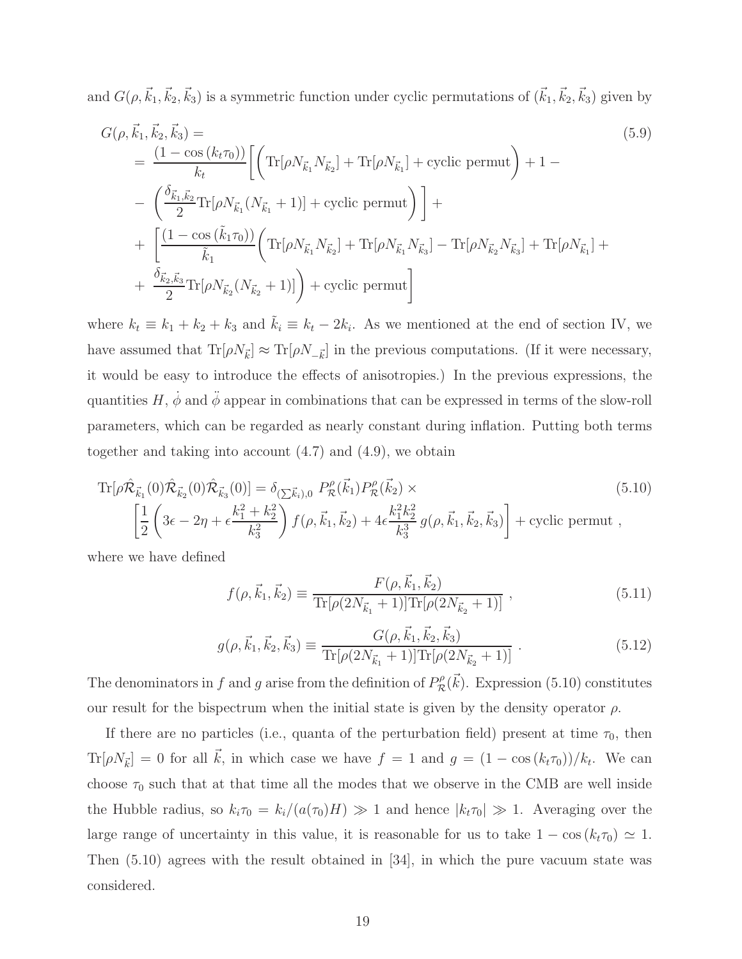and  $G(\rho, \vec{k}_1, \vec{k}_2, \vec{k}_3)$  is a symmetric function under cyclic permutations of  $(\vec{k}_1, \vec{k}_2, \vec{k}_3)$  given by

$$
G(\rho, \vec{k}_1, \vec{k}_2, \vec{k}_3) =
$$
\n
$$
= \frac{(1 - \cos(k_t \tau_0))}{k_t} \Biggl[ \Biggl( \text{Tr}[\rho N_{\vec{k}_1} N_{\vec{k}_2}] + \text{Tr}[\rho N_{\vec{k}_1}] + \text{cyclic permut} \Biggr) + 1 -
$$
\n
$$
- \Biggl( \frac{\delta_{\vec{k}_1, \vec{k}_2}}{2} \text{Tr}[\rho N_{\vec{k}_1} (N_{\vec{k}_1} + 1)] + \text{cyclic permut} \Biggr) \Biggr] +
$$
\n
$$
+ \Biggl[ \frac{(1 - \cos(\tilde{k}_1 \tau_0))}{\tilde{k}_1} \Biggl( \text{Tr}[\rho N_{\vec{k}_1} N_{\vec{k}_2}] + \text{Tr}[\rho N_{\vec{k}_1} N_{\vec{k}_3}] - \text{Tr}[\rho N_{\vec{k}_2} N_{\vec{k}_3}] + \text{Tr}[\rho N_{\vec{k}_1}] +
$$
\n
$$
+ \frac{\delta_{\vec{k}_2, \vec{k}_3}}{2} \text{Tr}[\rho N_{\vec{k}_2} (N_{\vec{k}_2} + 1)] \Biggr) + \text{cyclic permut} \Biggr]
$$
\n(5.9)

where  $k_t \equiv k_1 + k_2 + k_3$  and  $\tilde{k}_i \equiv k_t - 2k_i$ . As we mentioned at the end of section IV, we have assumed that  $\text{Tr}[\rho N_{\vec{k}}] \approx \text{Tr}[\rho N_{-\vec{k}}]$  in the previous computations. (If it were necessary, it would be easy to introduce the effects of anisotropies.) In the previous expressions, the quantities H,  $\dot{\phi}$  and  $\ddot{\phi}$  appear in combinations that can be expressed in terms of the slow-roll parameters, which can be regarded as nearly constant during inflation. Putting both terms together and taking into account (4.7) and (4.9), we obtain

Tr
$$
[\rho \hat{\mathcal{R}}_{\vec{k}_1}(0) \hat{\mathcal{R}}_{\vec{k}_2}(0) \hat{\mathcal{R}}_{\vec{k}_3}(0)] = \delta_{(\sum \vec{k}_i),0} P_{\mathcal{R}}^{\rho}(\vec{k}_1) P_{\mathcal{R}}^{\rho}(\vec{k}_2) \times
$$
  
\n
$$
\left[ \frac{1}{2} \left( 3\epsilon - 2\eta + \epsilon \frac{k_1^2 + k_2^2}{k_3^2} \right) f(\rho, \vec{k}_1, \vec{k}_2) + 4\epsilon \frac{k_1^2 k_2^2}{k_3^3} g(\rho, \vec{k}_1, \vec{k}_2, \vec{k}_3) \right] + \text{cyclic permut} ,
$$
\n(5.10)

where we have defined

$$
f(\rho, \vec{k}_1, \vec{k}_2) \equiv \frac{F(\rho, \vec{k}_1, \vec{k}_2)}{\text{Tr}[\rho(2N_{\vec{k}_1} + 1)] \text{Tr}[\rho(2N_{\vec{k}_2} + 1)]},
$$
\n(5.11)

$$
g(\rho, \vec{k}_1, \vec{k}_2, \vec{k}_3) \equiv \frac{G(\rho, \vec{k}_1, \vec{k}_2, \vec{k}_3)}{\text{Tr}[\rho(2N_{\vec{k}_1} + 1)] \text{Tr}[\rho(2N_{\vec{k}_2} + 1)]} \,. \tag{5.12}
$$

The denominators in f and g arise from the definition of  $P_{\mathcal{R}}^{\rho}(\vec{k})$ . Expression (5.10) constitutes our result for the bispectrum when the initial state is given by the density operator  $\rho$ .

If there are no particles (i.e., quanta of the perturbation field) present at time  $\tau_0$ , then  $\text{Tr}[\rho N_{\vec{k}}] = 0$  for all  $\vec{k}$ , in which case we have  $f = 1$  and  $g = (1 - \cos(k_t \tau_0))/k_t$ . We can choose  $\tau_0$  such that at that time all the modes that we observe in the CMB are well inside the Hubble radius, so  $k_i \tau_0 = k_i/(a(\tau_0)H) \gg 1$  and hence  $|k_t \tau_0| \gg 1$ . Averaging over the large range of uncertainty in this value, it is reasonable for us to take  $1 - \cos (k_t \tau_0) \simeq 1$ . Then (5.10) agrees with the result obtained in [34], in which the pure vacuum state was considered.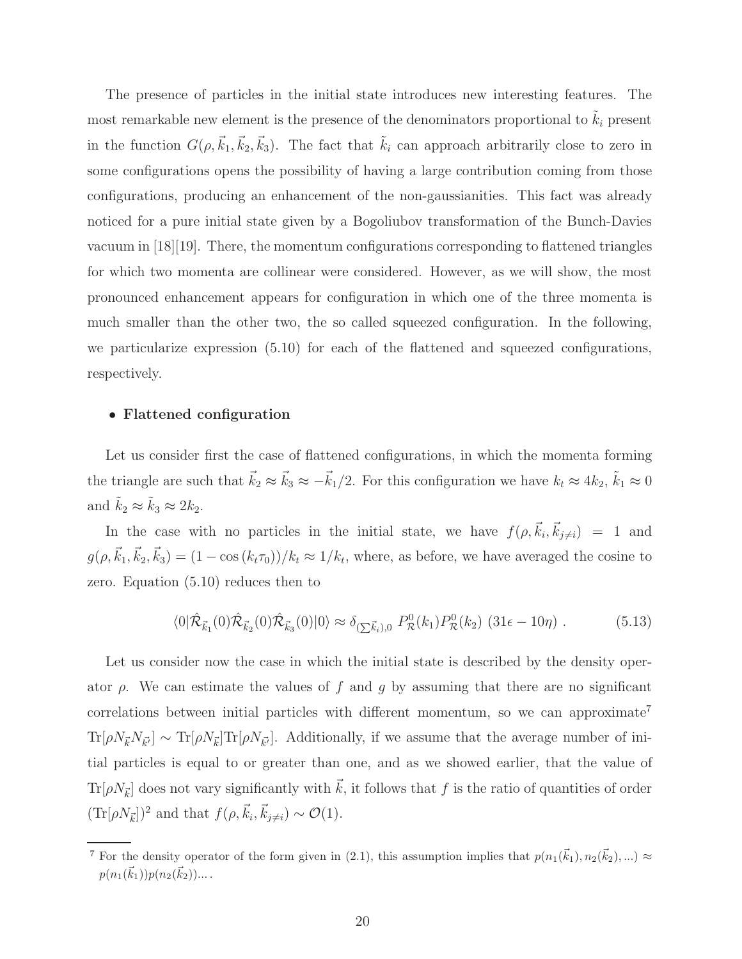The presence of particles in the initial state introduces new interesting features. The most remarkable new element is the presence of the denominators proportional to  $\tilde{k}_i$  present in the function  $G(\rho, \vec{k}_1, \vec{k}_2, \vec{k}_3)$ . The fact that  $\tilde{k}_i$  can approach arbitrarily close to zero in some configurations opens the possibility of having a large contribution coming from those configurations, producing an enhancement of the non-gaussianities. This fact was already noticed for a pure initial state given by a Bogoliubov transformation of the Bunch-Davies vacuum in [18][19]. There, the momentum configurations corresponding to flattened triangles for which two momenta are collinear were considered. However, as we will show, the most pronounced enhancement appears for configuration in which one of the three momenta is much smaller than the other two, the so called squeezed configuration. In the following, we particularize expression (5.10) for each of the flattened and squeezed configurations, respectively.

#### • Flattened configuration

Let us consider first the case of flattened configurations, in which the momenta forming the triangle are such that  $\vec{k}_2 \approx \vec{k}_3 \approx -\vec{k}_1/2$ . For this configuration we have  $k_t \approx 4k_2$ ,  $\tilde{k}_1 \approx 0$ and  $\tilde{k}_2 \approx \tilde{k}_3 \approx 2k_2$ .

In the case with no particles in the initial state, we have  $f(\rho, \vec{k}_i, \vec{k}_{j\neq i}) = 1$  and  $g(\rho, \vec{k}_1, \vec{k}_2, \vec{k}_3) = (1 - \cos(k_t \tau_0))/k_t \approx 1/k_t$ , where, as before, we have averaged the cosine to zero. Equation (5.10) reduces then to

$$
\langle 0|\hat{\mathcal{R}}_{\vec{k}_1}(0)\hat{\mathcal{R}}_{\vec{k}_2}(0)\hat{\mathcal{R}}_{\vec{k}_3}(0)|0\rangle \approx \delta_{(\sum \vec{k}_i),0} P^0_{\mathcal{R}}(k_1)P^0_{\mathcal{R}}(k_2) (31\epsilon - 10\eta) . \tag{5.13}
$$

Let us consider now the case in which the initial state is described by the density operator  $\rho$ . We can estimate the values of f and g by assuming that there are no significant correlations between initial particles with different momentum, so we can approximate<sup>7</sup>  $\text{Tr}[\rho N_{\vec{k}}N_{\vec{k'}}] \sim \text{Tr}[\rho N_{\vec{k}}]\text{Tr}[\rho N_{\vec{k'}}]$ . Additionally, if we assume that the average number of initial particles is equal to or greater than one, and as we showed earlier, that the value of  $\text{Tr}[\rho N_{\vec{k}}]$  does not vary significantly with  $\vec{k}$ , it follows that f is the ratio of quantities of order  $(\text{Tr}[\rho N_{\vec{k}}])^2$  and that  $f(\rho, \vec{k}_i, \vec{k}_{j\neq i}) \sim \mathcal{O}(1)$ .

<sup>&</sup>lt;sup>7</sup> For the density operator of the form given in (2.1), this assumption implies that  $p(n_1(\vec{k}_1), n_2(\vec{k}_2), ...) \approx$  $p(n_1(\vec{k}_1))p(n_2(\vec{k}_2))...$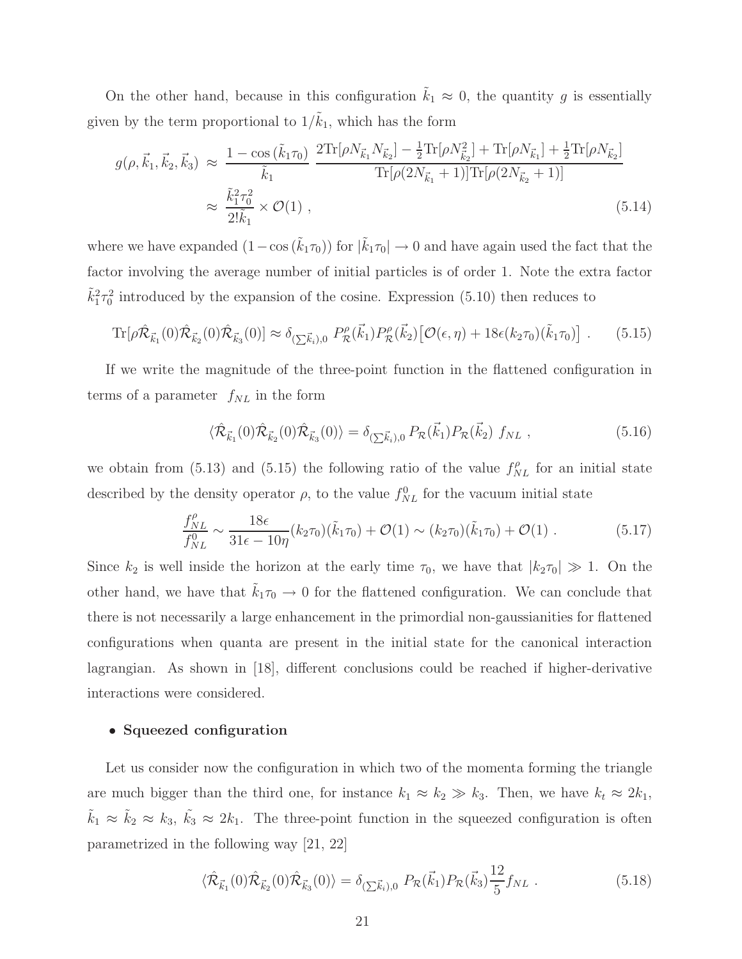On the other hand, because in this configuration  $k_1 \approx 0$ , the quantity g is essentially given by the term proportional to  $1/\tilde{k}_1$ , which has the form

$$
g(\rho, \vec{k}_1, \vec{k}_2, \vec{k}_3) \approx \frac{1 - \cos(\tilde{k}_1 \tau_0)}{\tilde{k}_1} \frac{2 \text{Tr}[\rho N_{\vec{k}_1} N_{\vec{k}_2}] - \frac{1}{2} \text{Tr}[\rho N_{\vec{k}_2}^2] + \text{Tr}[\rho N_{\vec{k}_1}] + \frac{1}{2} \text{Tr}[\rho N_{\vec{k}_2}]}{\text{Tr}[\rho (2N_{\vec{k}_1} + 1)] \text{Tr}[\rho (2N_{\vec{k}_2} + 1)]}
$$
  

$$
\approx \frac{\tilde{k}_1^2 \tau_0^2}{2! \tilde{k}_1} \times \mathcal{O}(1) , \qquad (5.14)
$$

where we have expanded  $(1 - \cos(\tilde{k}_1 \tau_0))$  for  $|\tilde{k}_1 \tau_0| \to 0$  and have again used the fact that the factor involving the average number of initial particles is of order 1. Note the extra factor  $\tilde{k}_1^2 \tau_0^2$  introduced by the expansion of the cosine. Expression (5.10) then reduces to

$$
\text{Tr}[\rho \hat{\mathcal{R}}_{\vec{k}_1}(0) \hat{\mathcal{R}}_{\vec{k}_2}(0) \hat{\mathcal{R}}_{\vec{k}_3}(0)] \approx \delta_{(\sum \vec{k}_i),0} P_{\mathcal{R}}^{\rho}(\vec{k}_1) P_{\mathcal{R}}^{\rho}(\vec{k}_2) [\mathcal{O}(\epsilon, \eta) + 18\epsilon(k_2 \tau_0)(\tilde{k}_1 \tau_0)] . \tag{5.15}
$$

If we write the magnitude of the three-point function in the flattened configuration in terms of a parameter  $f_{NL}$  in the form

$$
\langle \hat{\mathcal{R}}_{\vec{k}_1}(0) \hat{\mathcal{R}}_{\vec{k}_2}(0) \hat{\mathcal{R}}_{\vec{k}_3}(0) \rangle = \delta_{(\sum \vec{k}_i),0} P_{\mathcal{R}}(\vec{k}_1) P_{\mathcal{R}}(\vec{k}_2) f_{NL} , \qquad (5.16)
$$

we obtain from (5.13) and (5.15) the following ratio of the value  $f_{NL}^{\rho}$  for an initial state described by the density operator  $\rho$ , to the value  $f_{NL}^0$  for the vacuum initial state

$$
\frac{f_{NL}^{\rho}}{f_{NL}^0} \sim \frac{18\epsilon}{31\epsilon - 10\eta} (k_2 \tau_0)(\tilde{k}_1 \tau_0) + \mathcal{O}(1) \sim (k_2 \tau_0)(\tilde{k}_1 \tau_0) + \mathcal{O}(1) . \tag{5.17}
$$

Since  $k_2$  is well inside the horizon at the early time  $\tau_0$ , we have that  $|k_2\tau_0| \gg 1$ . On the other hand, we have that  $k_1 \tau_0 \rightarrow 0$  for the flattened configuration. We can conclude that there is not necessarily a large enhancement in the primordial non-gaussianities for flattened configurations when quanta are present in the initial state for the canonical interaction lagrangian. As shown in [18], different conclusions could be reached if higher-derivative interactions were considered.

#### • Squeezed configuration

Let us consider now the configuration in which two of the momenta forming the triangle are much bigger than the third one, for instance  $k_1 \approx k_2 \gg k_3$ . Then, we have  $k_t \approx 2k_1$ ,  $\tilde{k}_1 \approx \tilde{k}_2 \approx k_3$ ,  $\tilde{k}_3 \approx 2k_1$ . The three-point function in the squeezed configuration is often parametrized in the following way [21, 22]

$$
\langle \hat{\mathcal{R}}_{\vec{k}_1}(0) \hat{\mathcal{R}}_{\vec{k}_2}(0) \hat{\mathcal{R}}_{\vec{k}_3}(0) \rangle = \delta_{(\sum \vec{k}_i),0} P_{\mathcal{R}}(\vec{k}_1) P_{\mathcal{R}}(\vec{k}_3) \frac{12}{5} f_{NL} .
$$
\n(5.18)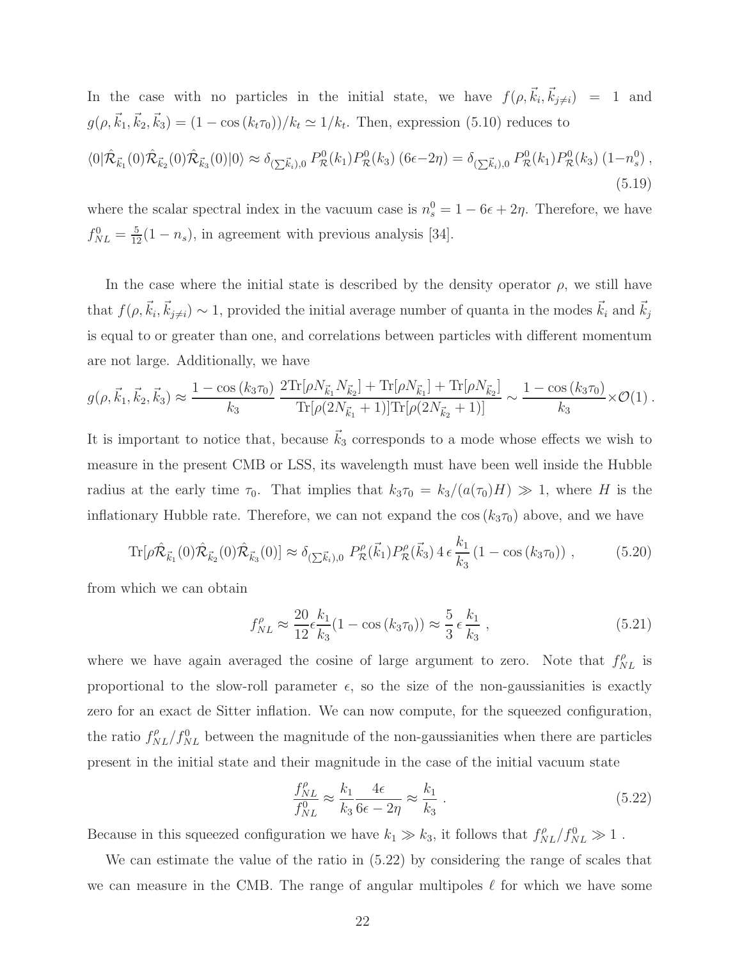In the case with no particles in the initial state, we have  $f(\rho, \vec{k}_i, \vec{k}_{j\neq i}) = 1$  and  $g(\rho, \vec{k}_1, \vec{k}_2, \vec{k}_3) = (1 - \cos(k_t \tau_0))/k_t \approx 1/k_t$ . Then, expression (5.10) reduces to

$$
\langle 0|\hat{\mathcal{R}}_{\vec{k}_1}(0)\hat{\mathcal{R}}_{\vec{k}_2}(0)\hat{\mathcal{R}}_{\vec{k}_3}(0)|0\rangle \approx \delta_{(\sum \vec{k}_i),0} P_{\mathcal{R}}^0(k_1)P_{\mathcal{R}}^0(k_3) (6\epsilon - 2\eta) = \delta_{(\sum \vec{k}_i),0} P_{\mathcal{R}}^0(k_1)P_{\mathcal{R}}^0(k_3) (1 - n_s^0),
$$
\n(5.19)

where the scalar spectral index in the vacuum case is  $n_s^0 = 1 - 6\epsilon + 2\eta$ . Therefore, we have  $f_{NL}^0 = \frac{5}{12}(1 - n_s)$ , in agreement with previous analysis [34].

In the case where the initial state is described by the density operator  $\rho$ , we still have that  $f(\rho, \vec{k}_i, \vec{k}_{j\neq i}) \sim 1$ , provided the initial average number of quanta in the modes  $\vec{k}_i$  and  $\vec{k}_j$ is equal to or greater than one, and correlations between particles with different momentum are not large. Additionally, we have

$$
g(\rho, \vec{k}_1, \vec{k}_2, \vec{k}_3) \approx \frac{1 - \cos (k_3 \tau_0)}{k_3} \frac{2 \text{Tr}[\rho N_{\vec{k}_1} N_{\vec{k}_2}] + \text{Tr}[\rho N_{\vec{k}_1}] + \text{Tr}[\rho N_{\vec{k}_2}]}{\text{Tr}[\rho (2N_{\vec{k}_1} + 1)] \text{Tr}[\rho (2N_{\vec{k}_2} + 1)]} \sim \frac{1 - \cos (k_3 \tau_0)}{k_3} \times \mathcal{O}(1) \,.
$$

It is important to notice that, because  $\vec{k}_3$  corresponds to a mode whose effects we wish to measure in the present CMB or LSS, its wavelength must have been well inside the Hubble radius at the early time  $\tau_0$ . That implies that  $k_3\tau_0 = k_3/(a(\tau_0)H) \gg 1$ , where H is the inflationary Hubble rate. Therefore, we can not expand the  $\cos(k_3\tau_0)$  above, and we have

$$
\text{Tr}[\rho \hat{\mathcal{R}}_{\vec{k}_1}(0) \hat{\mathcal{R}}_{\vec{k}_2}(0) \hat{\mathcal{R}}_{\vec{k}_3}(0)] \approx \delta_{(\sum \vec{k}_i),0} P_{\mathcal{R}}^{\rho}(\vec{k}_1) P_{\mathcal{R}}^{\rho}(\vec{k}_3) 4 \epsilon \frac{k_1}{k_3} (1 - \cos(k_3 \tau_0)), \tag{5.20}
$$

from which we can obtain

$$
f_{NL}^{\rho} \approx \frac{20}{12} \epsilon \frac{k_1}{k_3} (1 - \cos(k_3 \tau_0)) \approx \frac{5}{3} \epsilon \frac{k_1}{k_3} , \qquad (5.21)
$$

where we have again averaged the cosine of large argument to zero. Note that  $f_{NL}^{\rho}$  is proportional to the slow-roll parameter  $\epsilon$ , so the size of the non-gaussianities is exactly zero for an exact de Sitter inflation. We can now compute, for the squeezed configuration, the ratio  $f_{NL}^{\rho}/f_{NL}^0$  between the magnitude of the non-gaussianities when there are particles present in the initial state and their magnitude in the case of the initial vacuum state

$$
\frac{f_{NL}^{\rho}}{f_{NL}^0} \approx \frac{k_1}{k_3} \frac{4\epsilon}{6\epsilon - 2\eta} \approx \frac{k_1}{k_3} \,. \tag{5.22}
$$

Because in this squeezed configuration we have  $k_1 \gg k_3$ , it follows that  $f_{NL}^{\rho}/f_{NL}^0 \gg 1$ .

We can estimate the value of the ratio in (5.22) by considering the range of scales that we can measure in the CMB. The range of angular multipoles  $\ell$  for which we have some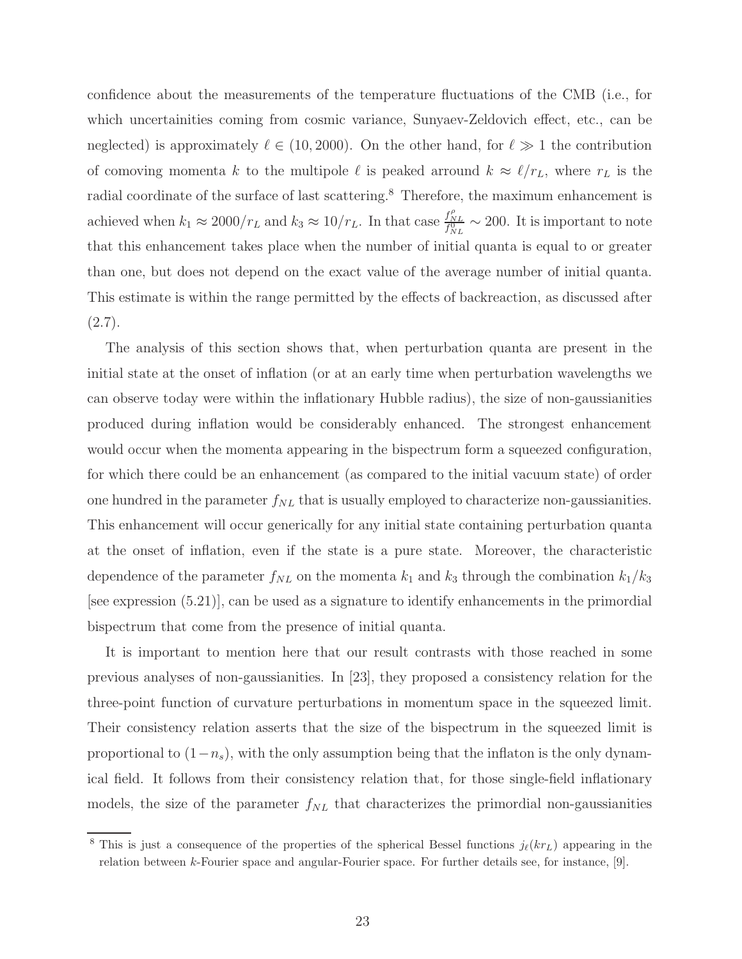confidence about the measurements of the temperature fluctuations of the CMB (i.e., for which uncertainities coming from cosmic variance, Sunyaev-Zeldovich effect, etc., can be neglected) is approximately  $\ell \in (10, 2000)$ . On the other hand, for  $\ell \gg 1$  the contribution of comoving momenta k to the multipole  $\ell$  is peaked arround  $k \approx \ell/r_L$ , where  $r_L$  is the radial coordinate of the surface of last scattering.<sup>8</sup> Therefore, the maximum enhancement is achieved when  $k_1 \approx 2000/r_L$  and  $k_3 \approx 10/r_L$ . In that case  $\frac{f_{NL}^{\rho}}{f_{NL}^0} \sim 200$ . It is important to note that this enhancement takes place when the number of initial quanta is equal to or greater than one, but does not depend on the exact value of the average number of initial quanta. This estimate is within the range permitted by the effects of backreaction, as discussed after  $(2.7).$ 

The analysis of this section shows that, when perturbation quanta are present in the initial state at the onset of inflation (or at an early time when perturbation wavelengths we can observe today were within the inflationary Hubble radius), the size of non-gaussianities produced during inflation would be considerably enhanced. The strongest enhancement would occur when the momenta appearing in the bispectrum form a squeezed configuration, for which there could be an enhancement (as compared to the initial vacuum state) of order one hundred in the parameter  $f_{NL}$  that is usually employed to characterize non-gaussianities. This enhancement will occur generically for any initial state containing perturbation quanta at the onset of inflation, even if the state is a pure state. Moreover, the characteristic dependence of the parameter  $f_{NL}$  on the momenta  $k_1$  and  $k_3$  through the combination  $k_1/k_3$ [see expression (5.21)], can be used as a signature to identify enhancements in the primordial bispectrum that come from the presence of initial quanta.

It is important to mention here that our result contrasts with those reached in some previous analyses of non-gaussianities. In [23], they proposed a consistency relation for the three-point function of curvature perturbations in momentum space in the squeezed limit. Their consistency relation asserts that the size of the bispectrum in the squeezed limit is proportional to  $(1-n_s)$ , with the only assumption being that the inflaton is the only dynamical field. It follows from their consistency relation that, for those single-field inflationary models, the size of the parameter  $f_{NL}$  that characterizes the primordial non-gaussianities

<sup>&</sup>lt;sup>8</sup> This is just a consequence of the properties of the spherical Bessel functions  $j_{\ell}(kr_L)$  appearing in the relation between k-Fourier space and angular-Fourier space. For further details see, for instance, [9].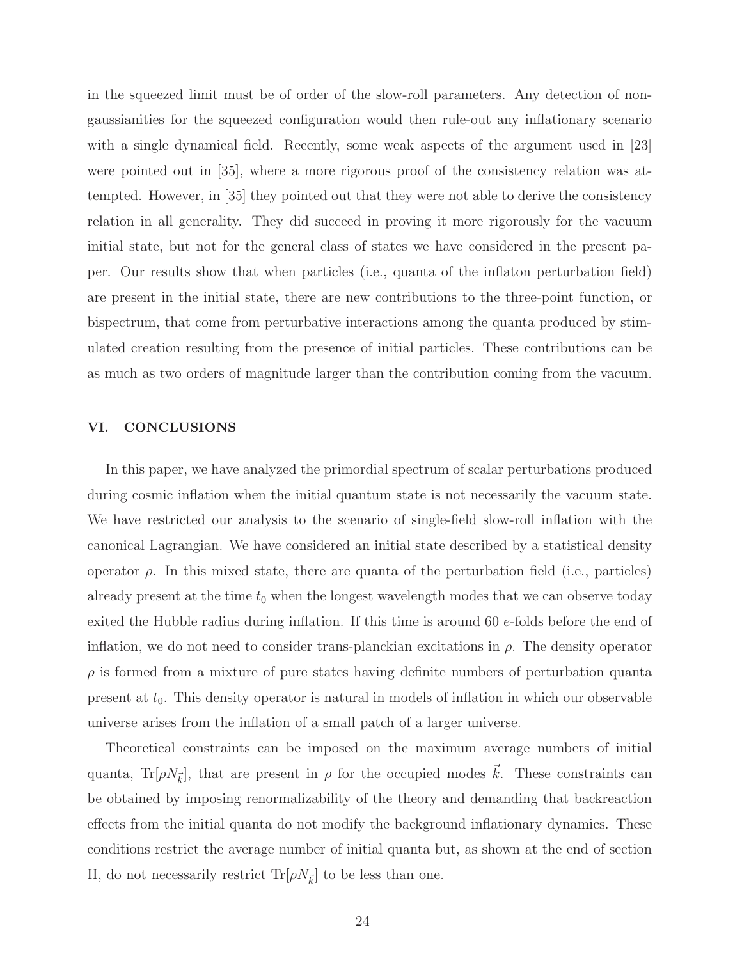in the squeezed limit must be of order of the slow-roll parameters. Any detection of nongaussianities for the squeezed configuration would then rule-out any inflationary scenario with a single dynamical field. Recently, some weak aspects of the argument used in [23] were pointed out in [35], where a more rigorous proof of the consistency relation was attempted. However, in [35] they pointed out that they were not able to derive the consistency relation in all generality. They did succeed in proving it more rigorously for the vacuum initial state, but not for the general class of states we have considered in the present paper. Our results show that when particles (i.e., quanta of the inflaton perturbation field) are present in the initial state, there are new contributions to the three-point function, or bispectrum, that come from perturbative interactions among the quanta produced by stimulated creation resulting from the presence of initial particles. These contributions can be as much as two orders of magnitude larger than the contribution coming from the vacuum.

#### VI. CONCLUSIONS

In this paper, we have analyzed the primordial spectrum of scalar perturbations produced during cosmic inflation when the initial quantum state is not necessarily the vacuum state. We have restricted our analysis to the scenario of single-field slow-roll inflation with the canonical Lagrangian. We have considered an initial state described by a statistical density operator  $ρ$ . In this mixed state, there are quanta of the perturbation field (i.e., particles) already present at the time  $t_0$  when the longest wavelength modes that we can observe today exited the Hubble radius during inflation. If this time is around 60  $e$ -folds before the end of inflation, we do not need to consider trans-planckian excitations in  $\rho$ . The density operator  $\rho$  is formed from a mixture of pure states having definite numbers of perturbation quanta present at  $t_0$ . This density operator is natural in models of inflation in which our observable universe arises from the inflation of a small patch of a larger universe.

Theoretical constraints can be imposed on the maximum average numbers of initial quanta, Tr $[\rho N_{\vec{k}}]$ , that are present in  $\rho$  for the occupied modes  $\vec{k}$ . These constraints can be obtained by imposing renormalizability of the theory and demanding that backreaction effects from the initial quanta do not modify the background inflationary dynamics. These conditions restrict the average number of initial quanta but, as shown at the end of section II, do not necessarily restrict  $\text{Tr}[\rho N_{\vec{k}}]$  to be less than one.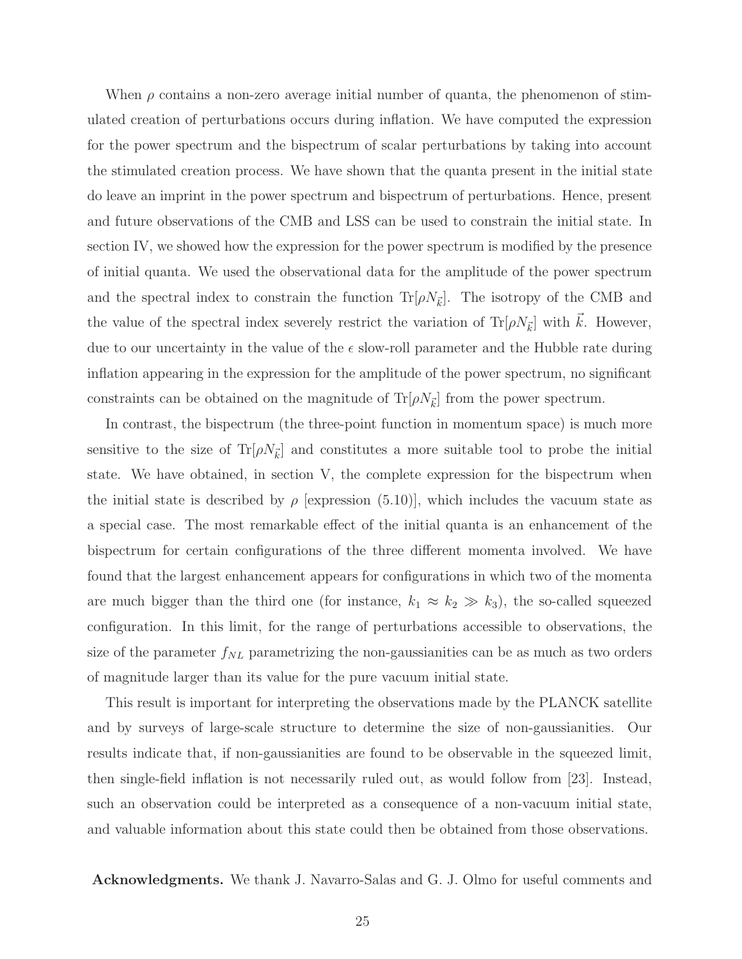When  $\rho$  contains a non-zero average initial number of quanta, the phenomenon of stimulated creation of perturbations occurs during inflation. We have computed the expression for the power spectrum and the bispectrum of scalar perturbations by taking into account the stimulated creation process. We have shown that the quanta present in the initial state do leave an imprint in the power spectrum and bispectrum of perturbations. Hence, present and future observations of the CMB and LSS can be used to constrain the initial state. In section IV, we showed how the expression for the power spectrum is modified by the presence of initial quanta. We used the observational data for the amplitude of the power spectrum and the spectral index to constrain the function  $\text{Tr}[\rho N_{\vec{k}}]$ . The isotropy of the CMB and the value of the spectral index severely restrict the variation of  $\text{Tr}[\rho N_{\vec{k}}]$  with  $\vec{k}$ . However, due to our uncertainty in the value of the  $\epsilon$  slow-roll parameter and the Hubble rate during inflation appearing in the expression for the amplitude of the power spectrum, no significant constraints can be obtained on the magnitude of  $\text{Tr}[\rho N_{\vec{k}}]$  from the power spectrum.

In contrast, the bispectrum (the three-point function in momentum space) is much more sensitive to the size of  $\text{Tr}[\rho N_{\vec{k}}]$  and constitutes a more suitable tool to probe the initial state. We have obtained, in section V, the complete expression for the bispectrum when the initial state is described by  $\rho$  [expression (5.10)], which includes the vacuum state as a special case. The most remarkable effect of the initial quanta is an enhancement of the bispectrum for certain configurations of the three different momenta involved. We have found that the largest enhancement appears for configurations in which two of the momenta are much bigger than the third one (for instance,  $k_1 \approx k_2 \gg k_3$ ), the so-called squeezed configuration. In this limit, for the range of perturbations accessible to observations, the size of the parameter  $f_{NL}$  parametrizing the non-gaussianities can be as much as two orders of magnitude larger than its value for the pure vacuum initial state.

This result is important for interpreting the observations made by the PLANCK satellite and by surveys of large-scale structure to determine the size of non-gaussianities. Our results indicate that, if non-gaussianities are found to be observable in the squeezed limit, then single-field inflation is not necessarily ruled out, as would follow from [23]. Instead, such an observation could be interpreted as a consequence of a non-vacuum initial state, and valuable information about this state could then be obtained from those observations.

Acknowledgments. We thank J. Navarro-Salas and G. J. Olmo for useful comments and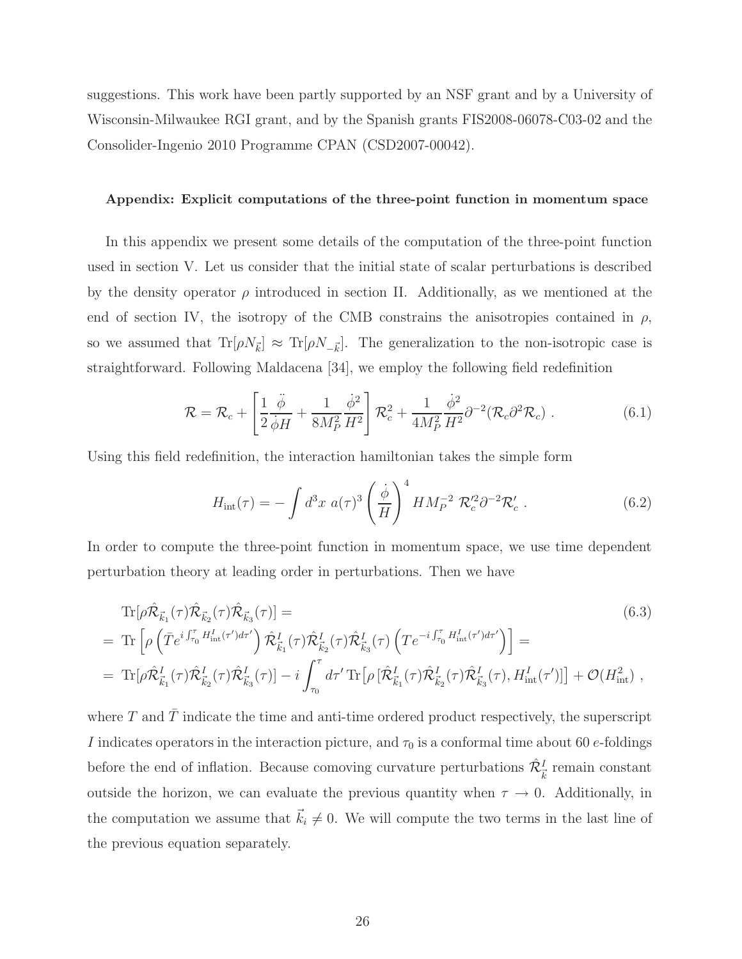suggestions. This work have been partly supported by an NSF grant and by a University of Wisconsin-Milwaukee RGI grant, and by the Spanish grants FIS2008-06078-C03-02 and the Consolider-Ingenio 2010 Programme CPAN (CSD2007-00042).

#### Appendix: Explicit computations of the three-point function in momentum space

In this appendix we present some details of the computation of the three-point function used in section V. Let us consider that the initial state of scalar perturbations is described by the density operator  $\rho$  introduced in section II. Additionally, as we mentioned at the end of section IV, the isotropy of the CMB constrains the anisotropies contained in  $\rho$ , so we assumed that  $\text{Tr}[\rho N_{\vec{k}}] \approx \text{Tr}[\rho N_{-\vec{k}}]$ . The generalization to the non-isotropic case is straightforward. Following Maldacena [34], we employ the following field redefinition

$$
\mathcal{R} = \mathcal{R}_c + \left[\frac{1}{2}\frac{\ddot{\phi}}{\dot{\phi}H} + \frac{1}{8M_P^2}\frac{\dot{\phi}^2}{H^2}\right]\mathcal{R}_c^2 + \frac{1}{4M_P^2}\frac{\dot{\phi}^2}{H^2}\partial^{-2}(\mathcal{R}_c\partial^2\mathcal{R}_c) \,. \tag{6.1}
$$

Using this field redefinition, the interaction hamiltonian takes the simple form

$$
H_{\rm int}(\tau) = -\int d^3x \; a(\tau)^3 \left(\frac{\dot{\phi}}{H}\right)^4 H M_P^{-2} \; \mathcal{R}_c^{\prime 2} \partial^{-2} \mathcal{R}_c^{\prime} \; . \tag{6.2}
$$

In order to compute the three-point function in momentum space, we use time dependent perturbation theory at leading order in perturbations. Then we have

$$
\begin{split}\n& \text{Tr}[\rho \hat{\mathcal{R}}_{\vec{k}_{1}}(\tau) \hat{\mathcal{R}}_{\vec{k}_{2}}(\tau) \hat{\mathcal{R}}_{\vec{k}_{3}}(\tau)] = \\
& = \text{Tr}\left[\rho \left(\bar{T}e^{i\int_{\tau_{0}}^{\tau} H_{\text{int}}^{I}(\tau') d\tau'}\right) \hat{\mathcal{R}}_{\vec{k}_{1}}^{I}(\tau) \hat{\mathcal{R}}_{\vec{k}_{2}}^{I}(\tau) \hat{\mathcal{R}}_{\vec{k}_{3}}^{I}(\tau) \left(Te^{-i\int_{\tau_{0}}^{\tau} H_{\text{int}}^{I}(\tau') d\tau'}\right)\right] = \\
& = \text{Tr}[\rho \hat{\mathcal{R}}_{\vec{k}_{1}}^{I}(\tau) \hat{\mathcal{R}}_{\vec{k}_{2}}^{I}(\tau) \hat{\mathcal{R}}_{\vec{k}_{3}}^{I}(\tau)] - i \int_{\tau_{0}}^{\tau} d\tau' \, \text{Tr}\left[\rho \left[\hat{\mathcal{R}}_{\vec{k}_{1}}^{I}(\tau) \hat{\mathcal{R}}_{\vec{k}_{2}}^{I}(\tau) \hat{\mathcal{R}}_{\vec{k}_{3}}^{I}(\tau), H_{\text{int}}^{I}(\tau')\right]\right] + \mathcal{O}(H_{\text{int}}^{2}),\n\end{split}
$$

where  $T$  and  $T$  indicate the time and anti-time ordered product respectively, the superscript I indicates operators in the interaction picture, and  $\tau_0$  is a conformal time about 60 e-foldings before the end of inflation. Because comoving curvature perturbations  $\hat{\mathcal{R}}_{\vec{k}}^I$  remain constant outside the horizon, we can evaluate the previous quantity when  $\tau \to 0$ . Additionally, in the computation we assume that  $\vec{k}_i \neq 0$ . We will compute the two terms in the last line of the previous equation separately.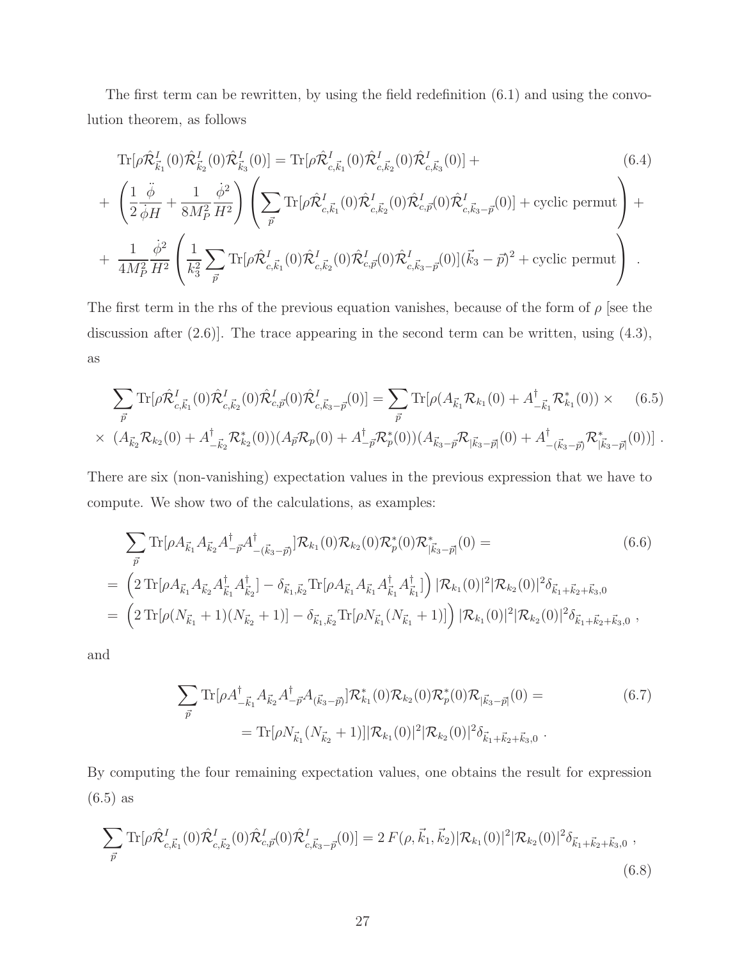The first term can be rewritten, by using the field redefinition (6.1) and using the convolution theorem, as follows

$$
\begin{split}\n\text{Tr}[\rho \hat{\mathcal{R}}^I_{\vec{k}_1}(0) \hat{\mathcal{R}}^I_{\vec{k}_2}(0) \hat{\mathcal{R}}^I_{\vec{k}_3}(0)] &= \text{Tr}[\rho \hat{\mathcal{R}}^I_{c,\vec{k}_1}(0) \hat{\mathcal{R}}^I_{c,\vec{k}_2}(0) \hat{\mathcal{R}}^I_{c,\vec{k}_3}(0)] + \\
&+ \left(\frac{1}{2} \frac{\ddot{\phi}}{\dot{\phi} H} + \frac{1}{8M_P^2} \frac{\dot{\phi}^2}{H^2}\right) \left(\sum_{\vec{p}} \text{Tr}[\rho \hat{\mathcal{R}}^I_{c,\vec{k}_1}(0) \hat{\mathcal{R}}^I_{c,\vec{k}_2}(0) \hat{\mathcal{R}}^I_{c,\vec{p}}(0) \hat{\mathcal{R}}^I_{c,\vec{k}_3-\vec{p}}(0)] + \text{cyclic permut}\right) + \\
&+ \frac{1}{4M_P^2} \frac{\dot{\phi}^2}{H^2} \left(\frac{1}{k_3^2} \sum_{\vec{p}} \text{Tr}[\rho \hat{\mathcal{R}}^I_{c,\vec{k}_1}(0) \hat{\mathcal{R}}^I_{c,\vec{k}_2}(0) \hat{\mathcal{R}}^I_{c,\vec{p}}(0) \hat{\mathcal{R}}^I_{c,\vec{k}_3-\vec{p}}(0)] (\vec{k}_3 - \vec{p})^2 + \text{cyclic permut}\right) .\n\end{split} \tag{6.4}
$$

The first term in the rhs of the previous equation vanishes, because of the form of  $\rho$  [see the discussion after  $(2.6)$ . The trace appearing in the second term can be written, using  $(4.3)$ , as

$$
\sum_{\vec{p}} \text{Tr}[\rho \hat{\mathcal{R}}_{c,\vec{k}_{1}}^{I}(0) \hat{\mathcal{R}}_{c,\vec{k}_{2}}^{I}(0) \hat{\mathcal{R}}_{c,\vec{p}}^{I}(0) \hat{\mathcal{R}}_{c,\vec{k}_{3}-\vec{p}}^{I}(0)] = \sum_{\vec{p}} \text{Tr}[\rho(A_{\vec{k}_{1}} \mathcal{R}_{k_{1}}(0) + A_{-\vec{k}_{1}}^{\dagger} \mathcal{R}_{k_{1}}^{*}(0)) \times (6.5)]
$$

$$
\times (A_{\vec{k}_2} \mathcal{R}_{k_2}(0) + A_{-\vec{k}_2}^{\dagger} \mathcal{R}_{k_2}^*(0)) (A_{\vec{p}} \mathcal{R}_{p}(0) + A_{-\vec{p}}^{\dagger} \mathcal{R}_{p}^*(0)) (A_{\vec{k}_3 - \vec{p}} \mathcal{R}_{|\vec{k}_3 - \vec{p}|}(0) + A_{-(\vec{k}_3 - \vec{p})}^{\dagger} \mathcal{R}_{|\vec{k}_3 - \vec{p}|}^*(0)) .
$$

There are six (non-vanishing) expectation values in the previous expression that we have to compute. We show two of the calculations, as examples:

$$
\sum_{\vec{p}} \text{Tr}[\rho A_{\vec{k}_{1}} A_{\vec{k}_{2}} A_{-\vec{p}}^{\dagger} A_{-(\vec{k}_{3}-\vec{p})}^{\dagger}] \mathcal{R}_{k_{1}}(0) \mathcal{R}_{k_{2}}(0) \mathcal{R}_{\vec{p}}^{*}(0) \mathcal{R}_{|\vec{k}_{3}-\vec{p}|}^{*}(0) =
$$
\n
$$
= \left(2 \text{Tr}[\rho A_{\vec{k}_{1}} A_{\vec{k}_{2}} A_{\vec{k}_{1}}^{\dagger} A_{\vec{k}_{2}}^{\dagger}] - \delta_{\vec{k}_{1}, \vec{k}_{2}} \text{Tr}[\rho A_{\vec{k}_{1}} A_{\vec{k}_{1}} A_{\vec{k}_{1}}^{\dagger} A_{\vec{k}_{1}}^{\dagger}] \right) |\mathcal{R}_{k_{1}}(0)|^{2} |\mathcal{R}_{k_{2}}(0)|^{2} \delta_{\vec{k}_{1}+\vec{k}_{2}+\vec{k}_{3},0}
$$
\n
$$
= \left(2 \text{Tr}[\rho (N_{\vec{k}_{1}} + 1)(N_{\vec{k}_{2}} + 1)] - \delta_{\vec{k}_{1}, \vec{k}_{2}} \text{Tr}[\rho N_{\vec{k}_{1}} (N_{\vec{k}_{1}} + 1)]\right) |\mathcal{R}_{k_{1}}(0)|^{2} |\mathcal{R}_{k_{2}}(0)|^{2} \delta_{\vec{k}_{1}+\vec{k}_{2}+\vec{k}_{3},0} ,
$$
\n(6.6)

and

$$
\sum_{\vec{p}} \text{Tr}[\rho A^{\dagger}_{-\vec{k}_1} A_{\vec{k}_2} A^{\dagger}_{-\vec{p}} A_{(\vec{k}_3 - \vec{p})}] \mathcal{R}_{k_1}^*(0) \mathcal{R}_{k_2}(0) \mathcal{R}_{\vec{p}}^*(0) \mathcal{R}_{|\vec{k}_3 - \vec{p}|}(0) =
$$
\n
$$
= \text{Tr}[\rho N_{\vec{k}_1} (N_{\vec{k}_2} + 1)] |\mathcal{R}_{k_1}(0)|^2 |\mathcal{R}_{k_2}(0)|^2 \delta_{\vec{k}_1 + \vec{k}_2 + \vec{k}_3,0}.
$$
\n(6.7)

By computing the four remaining expectation values, one obtains the result for expression  $(6.5)$  as

$$
\sum_{\vec{p}} \text{Tr}[\rho \hat{\mathcal{R}}^I_{c,\vec{k}_1}(0) \hat{\mathcal{R}}^I_{c,\vec{k}_2}(0) \hat{\mathcal{R}}^I_{c,\vec{p}}(0) \hat{\mathcal{R}}^I_{c,\vec{k}_3-\vec{p}}(0)] = 2 F(\rho, \vec{k}_1, \vec{k}_2) |\mathcal{R}_{k_1}(0)|^2 |\mathcal{R}_{k_2}(0)|^2 \delta_{\vec{k}_1 + \vec{k}_2 + \vec{k}_3,0},
$$
\n(6.8)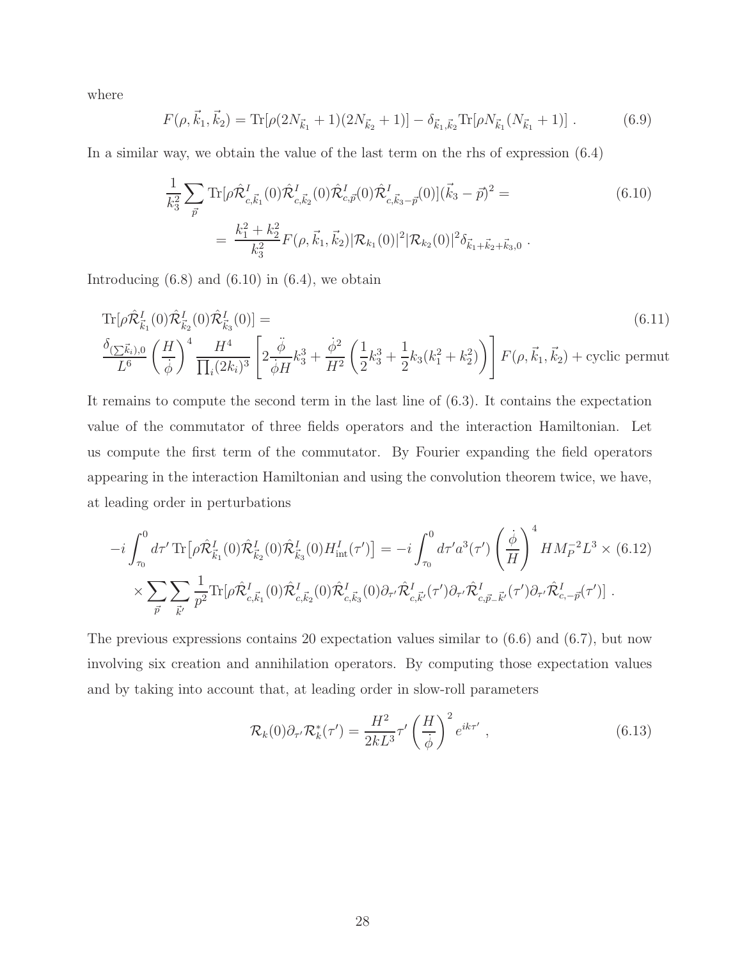where

$$
F(\rho, \vec{k}_1, \vec{k}_2) = \text{Tr}[\rho(2N_{\vec{k}_1} + 1)(2N_{\vec{k}_2} + 1)] - \delta_{\vec{k}_1, \vec{k}_2} \text{Tr}[\rho N_{\vec{k}_1} (N_{\vec{k}_1} + 1)]. \tag{6.9}
$$

In a similar way, we obtain the value of the last term on the rhs of expression (6.4)

$$
\frac{1}{k_3^2} \sum_{\vec{p}} \text{Tr}[\rho \hat{\mathcal{R}}^I_{c,\vec{k}_1}(0) \hat{\mathcal{R}}^I_{c,\vec{k}_2}(0) \hat{\mathcal{R}}^I_{c,\vec{p}}(0) \hat{\mathcal{R}}^I_{c,\vec{k}_3-\vec{p}}(0)] (\vec{k}_3 - \vec{p})^2 =
$$
\n
$$
= \frac{k_1^2 + k_2^2}{k_3^2} F(\rho, \vec{k}_1, \vec{k}_2) |\mathcal{R}_{k_1}(0)|^2 |\mathcal{R}_{k_2}(0)|^2 \delta_{\vec{k}_1 + \vec{k}_2 + \vec{k}_3,0}.
$$
\n(6.10)

Introducing  $(6.8)$  and  $(6.10)$  in  $(6.4)$ , we obtain

$$
\text{Tr}[\rho \hat{\mathcal{R}}_{\vec{k}_1}^I(0)\hat{\mathcal{R}}_{\vec{k}_2}^I(0)\hat{\mathcal{R}}_{\vec{k}_3}^I(0)] =
$$
\n
$$
\frac{\delta_{\left(\sum \vec{k}_i\right),0}}{L^6} \left(\frac{H}{\dot{\phi}}\right)^4 \frac{H^4}{\prod_i (2k_i)^3} \left[2\frac{\ddot{\phi}}{\dot{\phi}H}k_3^3 + \frac{\dot{\phi}^2}{H^2} \left(\frac{1}{2}k_3^3 + \frac{1}{2}k_3(k_1^2 + k_2^2)\right)\right] F(\rho, \vec{k}_1, \vec{k}_2) + \text{cyclic permut}
$$
\n(6.11)

It remains to compute the second term in the last line of (6.3). It contains the expectation value of the commutator of three fields operators and the interaction Hamiltonian. Let us compute the first term of the commutator. By Fourier expanding the field operators appearing in the interaction Hamiltonian and using the convolution theorem twice, we have, at leading order in perturbations

$$
-i\int_{\tau_0}^0 d\tau' \operatorname{Tr}\left[\rho \hat{\mathcal{R}}_{\vec{k}_1}^I(0)\hat{\mathcal{R}}_{\vec{k}_2}^I(0)\hat{\mathcal{R}}_{\vec{k}_3}^I(0)H_{\text{int}}^I(\tau')\right] = -i\int_{\tau_0}^0 d\tau' a^3(\tau') \left(\frac{\dot{\phi}}{H}\right)^4 H M_P^{-2} L^3 \times (6.12)
$$

$$
\times \sum_{\vec{p}} \sum_{\vec{k}'} \frac{1}{p^2} \operatorname{Tr}\left[\rho \hat{\mathcal{R}}_{c,\vec{k}_1}^I(0)\hat{\mathcal{R}}_{c,\vec{k}_2}^I(0)\hat{\mathcal{R}}_{c,\vec{k}_3}^I(0)\partial_{\tau'} \hat{\mathcal{R}}_{c,\vec{k}'}^I(\tau')\partial_{\tau'} \hat{\mathcal{R}}_{c,\vec{p}-\vec{k}'}^I(\tau')\partial_{\tau'} \hat{\mathcal{R}}_{c,-\vec{p}}^I(\tau')\right].
$$

The previous expressions contains 20 expectation values similar to (6.6) and (6.7), but now involving six creation and annihilation operators. By computing those expectation values and by taking into account that, at leading order in slow-roll parameters

$$
\mathcal{R}_k(0)\partial_{\tau'}\mathcal{R}_k^*(\tau') = \frac{H^2}{2kL^3}\tau'\left(\frac{H}{\dot{\phi}}\right)^2 e^{ik\tau'},\tag{6.13}
$$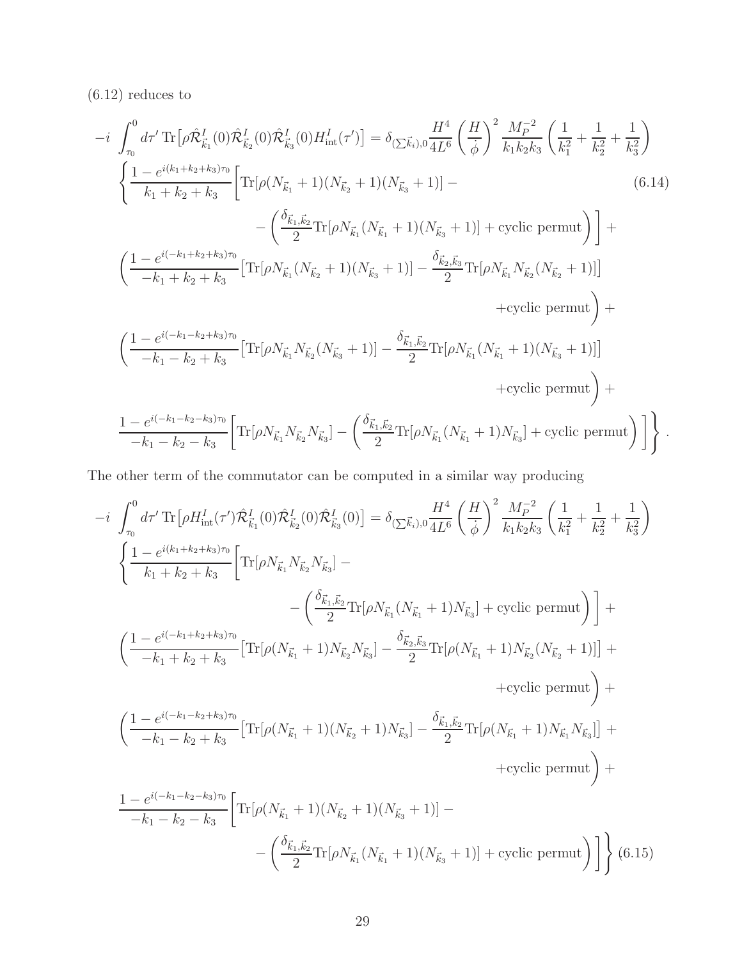$(6.12)$  reduces to

$$
-i \int_{\tau_0}^{0} d\tau' \text{Tr} \left[ \rho \hat{\mathcal{R}}_{\vec{k}_1}^{I}(0) \hat{\mathcal{R}}_{\vec{k}_2}^{I}(0) \hat{\mathcal{R}}_{\vec{k}_3}^{I}(0) H_{\text{int}}^{I}(\tau') \right] = \delta_{(\sum \vec{k}_i),0} \frac{H^4}{4L^6} \left( \frac{H}{\phi} \right)^2 \frac{M_P^{-2}}{k_1 k_2 k_3} \left( \frac{1}{k_1^2} + \frac{1}{k_2^2} + \frac{1}{k_3^2} \right)
$$
\n
$$
\begin{cases}\n\frac{1 - e^{i(k_1 + k_2 + k_3)\tau_0}}{k_1 + k_2 + k_3} \left[ \text{Tr} [\rho (N_{\vec{k}_1} + 1)(N_{\vec{k}_2} + 1)(N_{\vec{k}_3} + 1)] - \left( \frac{\delta_{\vec{k}_1,\vec{k}_2}}{2} \text{Tr} [\rho N_{\vec{k}_1} (N_{\vec{k}_1} + 1)(N_{\vec{k}_3} + 1)] + \text{cyclic permut} \right) \right] + \left( \frac{1 - e^{i(-k_1 + k_2 + k_3)\tau_0}}{-k_1 + k_2 + k_3} \left[ \text{Tr} [\rho N_{\vec{k}_1} (N_{\vec{k}_2} + 1)(N_{\vec{k}_3} + 1)] - \frac{\delta_{\vec{k}_2,\vec{k}_3}}{2} \text{Tr} [\rho N_{\vec{k}_1} N_{\vec{k}_2} (N_{\vec{k}_2} + 1)] \right] \right. \\
\left. + \text{cyclic permut} \right) + \left( \frac{1 - e^{i(-k_1 - k_2 + k_3)\tau_0}}{-k_1 - k_2 + k_3} \left[ \text{Tr} [\rho N_{\vec{k}_1} N_{\vec{k}_2} (N_{\vec{k}_3} + 1)] - \frac{\delta_{\vec{k}_1,\vec{k}_2}}{2} \text{Tr} [\rho N_{\vec{k}_1} (N_{\vec{k}_1} + 1)(N_{\vec{k}_3} + 1)] \right] \right. \\
\left. + \text{cyclic permut} \right) + \text{cyclic permut} \right) + \left. \frac{1 - e^{i(-k_1 - k_2 - k_3)\tau_0}}{-k_1 - k_2 - k_3
$$

The other term of the commutator can be computed in a similar way producing

$$
-i \int_{\tau_0}^{0} d\tau' \text{Tr} \left[ \rho H_{int}^{I}(\tau') \hat{\mathcal{R}}_{\vec{k}_1}^{I}(0) \hat{\mathcal{R}}_{\vec{k}_2}^{I}(0) \hat{\mathcal{R}}_{\vec{k}_3}^{I}(0) \right] = \delta_{(\sum \vec{k}_i),0} \frac{H^4}{4L^6} \left( \frac{H}{\dot{\phi}} \right)^2 \frac{M_P^{-2}}{k_1 k_2 k_3} \left( \frac{1}{k_1^2} + \frac{1}{k_2^2} + \frac{1}{k_3^2} \right)
$$
\n
$$
\begin{aligned}\n& \left\{ \frac{1 - e^{i(k_1 + k_2 + k_3)\tau_0}}{k_1 + k_2 + k_3} \right[ \text{Tr} [\rho N_{\vec{k}_1} N_{\vec{k}_2} N_{\vec{k}_3}] - \\
& - \left( \frac{\delta_{\vec{k}_1, \vec{k}_2}}{2} \text{Tr} [\rho N_{\vec{k}_1} (N_{\vec{k}_1} + 1) N_{\vec{k}_3}] + \text{cyclic permut} \right) \right] + \\
& \left( \frac{1 - e^{i(-k_1 + k_2 + k_3)\tau_0}}{-k_1 + k_2 + k_3} \right[ \text{Tr} [\rho (N_{\vec{k}_1} + 1) N_{\vec{k}_2} N_{\vec{k}_3}] - \frac{\delta_{\vec{k}_2, \vec{k}_3}}{2} \text{Tr} [\rho (N_{\vec{k}_1} + 1) N_{\vec{k}_2} (N_{\vec{k}_2} + 1)] \right] + \\
& + \text{cyclic permut} + \\
& \left( \frac{1 - e^{i(-k_1 - k_2 + k_3)\tau_0}}{-k_1 - k_2 + k_3} \right[ \text{Tr} [\rho (N_{\vec{k}_1} + 1) (N_{\vec{k}_2} + 1) N_{\vec{k}_3}] - \frac{\delta_{\vec{k}_1, \vec{k}_2}}{2} \text{Tr} [\rho (N_{\vec{k}_1} + 1) N_{\vec{k}_1} N_{\vec{k}_3}] \right] + \\
& + \text{cyclic permut} + \\
& \frac{1 - e^{i(-k_1 - k_2 - k_3)\tau_0}}{-k_1 - k_2 - k_3} \left[ \text{Tr} [\rho (N_{\vec{k}_1} + 1) (N_{\
$$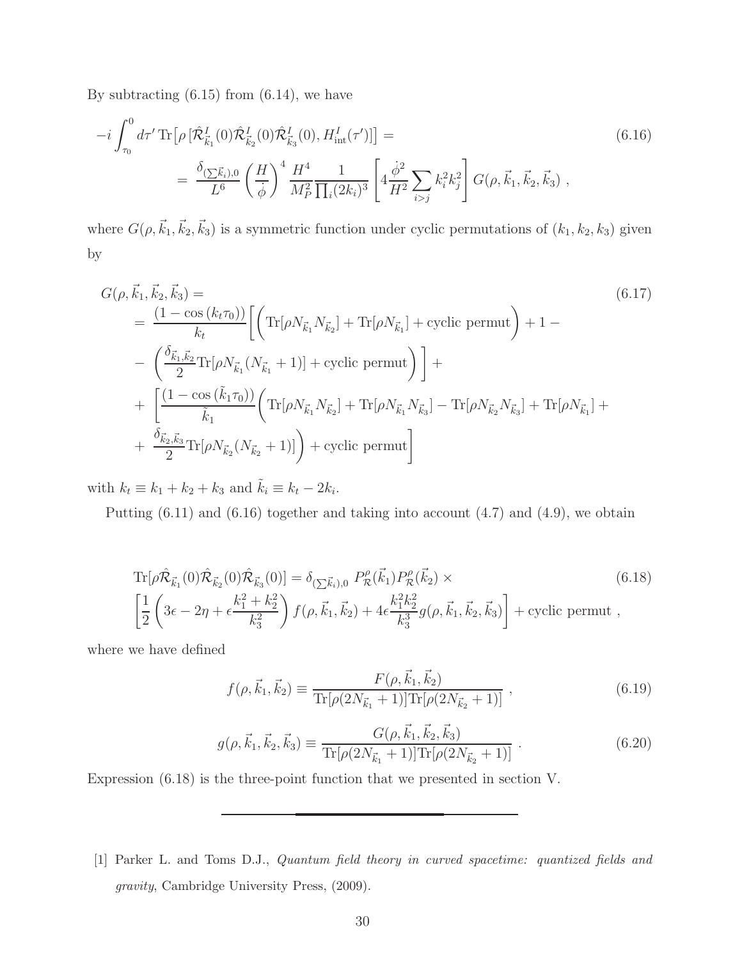By subtracting  $(6.15)$  from  $(6.14)$ , we have

$$
-i\int_{\tau_0}^0 d\tau' \operatorname{Tr}\left[\rho \left[\hat{\mathcal{R}}_{\vec{k}_1}^I(0)\hat{\mathcal{R}}_{\vec{k}_2}^I(0)\hat{\mathcal{R}}_{\vec{k}_3}^I(0), H_{\text{int}}^I(\tau')\right]\right] =
$$
\n
$$
= \frac{\delta_{(\sum \vec{k}_i),0}}{L^6} \left(\frac{H}{\dot{\phi}}\right)^4 \frac{H^4}{M_P^2} \frac{1}{\prod_i (2k_i)^3} \left[4\frac{\dot{\phi}^2}{H^2} \sum_{i>j} k_i^2 k_j^2\right] G(\rho, \vec{k}_1, \vec{k}_2, \vec{k}_3) ,
$$
\n(6.16)

where  $G(\rho, \vec{k}_1, \vec{k}_2, \vec{k}_3)$  is a symmetric function under cyclic permutations of  $(k_1, k_2, k_3)$  given by

$$
G(\rho, \vec{k}_1, \vec{k}_2, \vec{k}_3) =
$$
\n
$$
= \frac{(1 - \cos(k_t \tau_0))}{k_t} \Biggl[ \Biggl( \text{Tr}[\rho N_{\vec{k}_1} N_{\vec{k}_2}] + \text{Tr}[\rho N_{\vec{k}_1}] + \text{cyclic permut} \Biggr) + 1 -
$$
\n
$$
- \Biggl( \frac{\delta_{\vec{k}_1, \vec{k}_2}}{2} \text{Tr}[\rho N_{\vec{k}_1} (N_{\vec{k}_1} + 1)] + \text{cyclic permut} \Biggr) \Biggr] +
$$
\n
$$
+ \Biggl[ \frac{(1 - \cos(\tilde{k}_1 \tau_0))}{\tilde{k}_1} \Biggl( \text{Tr}[\rho N_{\vec{k}_1} N_{\vec{k}_2}] + \text{Tr}[\rho N_{\vec{k}_1} N_{\vec{k}_3}] - \text{Tr}[\rho N_{\vec{k}_2} N_{\vec{k}_3}] + \text{Tr}[\rho N_{\vec{k}_1}] +
$$
\n
$$
+ \frac{\delta_{\vec{k}_2, \vec{k}_3}}{2} \text{Tr}[\rho N_{\vec{k}_2} (N_{\vec{k}_2} + 1)] \Biggr) + \text{cyclic permut} \Biggr]
$$
\n(6.17)

with  $k_t \equiv k_1 + k_2 + k_3$  and  $\tilde{k}_i \equiv k_t - 2k_i$ .

Putting (6.11) and (6.16) together and taking into account (4.7) and (4.9), we obtain

$$
\begin{split} \text{Tr}[\rho \hat{\mathcal{R}}_{\vec{k}_{1}}(0) \hat{\mathcal{R}}_{\vec{k}_{2}}(0) \hat{\mathcal{R}}_{\vec{k}_{3}}(0)] &= \delta_{\left(\sum \vec{k}_{i}\right),0} \ P^{\rho}_{\mathcal{R}}(\vec{k}_{1}) P^{\rho}_{\mathcal{R}}(\vec{k}_{2}) \times \\ \left[\frac{1}{2} \left(3\epsilon - 2\eta + \epsilon \frac{k_{1}^{2} + k_{2}^{2}}{k_{3}^{2}}\right) f(\rho, \vec{k}_{1}, \vec{k}_{2}) + 4\epsilon \frac{k_{1}^{2} k_{2}^{2}}{k_{3}^{3}} g(\rho, \vec{k}_{1}, \vec{k}_{2}, \vec{k}_{3})\right] + \text{cyclic permut} \,, \end{split} \tag{6.18}
$$

where we have defined

$$
f(\rho, \vec{k}_1, \vec{k}_2) \equiv \frac{F(\rho, \vec{k}_1, \vec{k}_2)}{\text{Tr}[\rho(2N_{\vec{k}_1} + 1)]\text{Tr}[\rho(2N_{\vec{k}_2} + 1)]},
$$
(6.19)

$$
g(\rho, \vec{k}_1, \vec{k}_2, \vec{k}_3) \equiv \frac{G(\rho, \vec{k}_1, \vec{k}_2, \vec{k}_3)}{\text{Tr}[\rho(2N_{\vec{k}_1} + 1)]\text{Tr}[\rho(2N_{\vec{k}_2} + 1)]} \,. \tag{6.20}
$$

Expression (6.18) is the three-point function that we presented in section V.

[1] Parker L. and Toms D.J., Quantum field theory in curved spacetime: quantized fields and gravity, Cambridge University Press, (2009).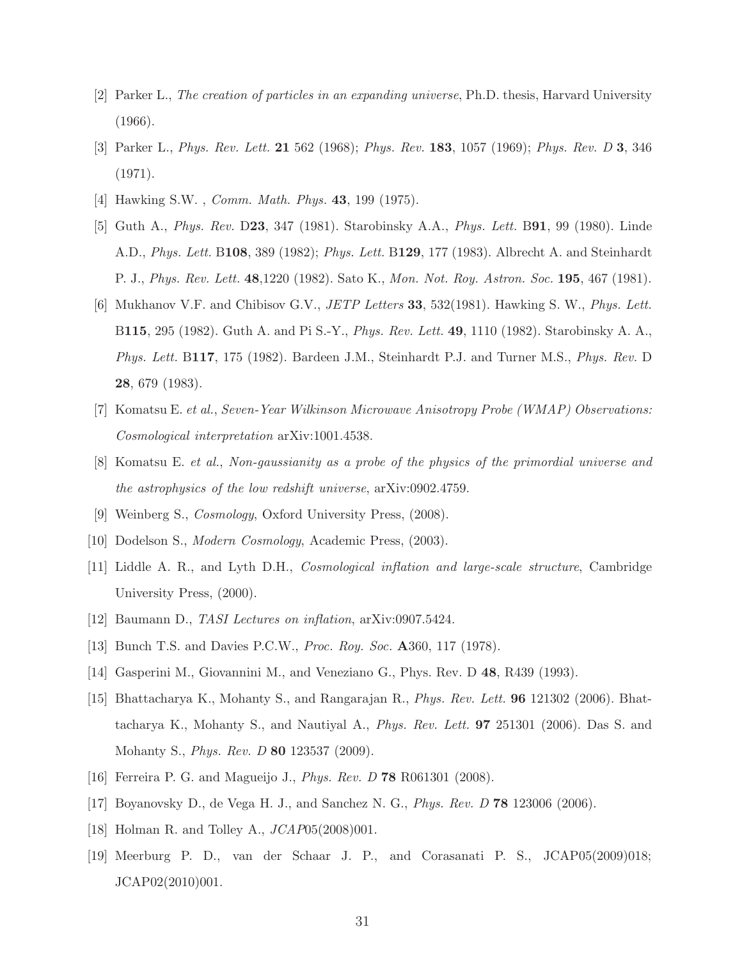- [2] Parker L., The creation of particles in an expanding universe, Ph.D. thesis, Harvard University (1966).
- [3] Parker L., *Phys. Rev. Lett.* **21** 562 (1968); *Phys. Rev.* **183**, 1057 (1969); *Phys. Rev.* D 3, 346 (1971).
- [4] Hawking S.W., *Comm. Math. Phys.* **43**, 199 (1975).
- [5] Guth A., Phys. Rev. D23, 347 (1981). Starobinsky A.A., Phys. Lett. B91, 99 (1980). Linde A.D., Phys. Lett. B108, 389 (1982); Phys. Lett. B129, 177 (1983). Albrecht A. and Steinhardt P. J., Phys. Rev. Lett. 48,1220 (1982). Sato K., Mon. Not. Roy. Astron. Soc. 195, 467 (1981).
- [6] Mukhanov V.F. and Chibisov G.V., *JETP Letters* **33**, 532(1981). Hawking S. W., *Phys. Lett.* B115, 295 (1982). Guth A. and Pi S.-Y., Phys. Rev. Lett. 49, 1110 (1982). Starobinsky A. A., Phys. Lett. B117, 175 (1982). Bardeen J.M., Steinhardt P.J. and Turner M.S., Phys. Rev. D 28, 679 (1983).
- [7] Komatsu E. et al., Seven-Year Wilkinson Microwave Anisotropy Probe (WMAP) Observations: Cosmological interpretation arXiv:1001.4538.
- [8] Komatsu E. et al., Non-gaussianity as a probe of the physics of the primordial universe and the astrophysics of the low redshift universe, arXiv:0902.4759.
- [9] Weinberg S., Cosmology, Oxford University Press, (2008).
- [10] Dodelson S., Modern Cosmology, Academic Press, (2003).
- [11] Liddle A. R., and Lyth D.H., Cosmological inflation and large-scale structure, Cambridge University Press, (2000).
- [12] Baumann D., TASI Lectures on inflation, arXiv:0907.5424.
- [13] Bunch T.S. and Davies P.C.W., Proc. Roy. Soc. A360, 117 (1978).
- [14] Gasperini M., Giovannini M., and Veneziano G., Phys. Rev. D 48, R439 (1993).
- [15] Bhattacharya K., Mohanty S., and Rangarajan R., *Phys. Rev. Lett.* **96** 121302 (2006). Bhattacharya K., Mohanty S., and Nautiyal A., Phys. Rev. Lett. 97 251301 (2006). Das S. and Mohanty S., Phys. Rev. D 80 123537 (2009).
- [16] Ferreira P. G. and Magueijo J., Phys. Rev. D 78 R061301 (2008).
- [17] Boyanovsky D., de Vega H. J., and Sanchez N. G., Phys. Rev. D 78 123006 (2006).
- [18] Holman R. and Tolley A.,  $JCAP05(2008)001$ .
- [19] Meerburg P. D., van der Schaar J. P., and Corasanati P. S., JCAP05(2009)018; JCAP02(2010)001.